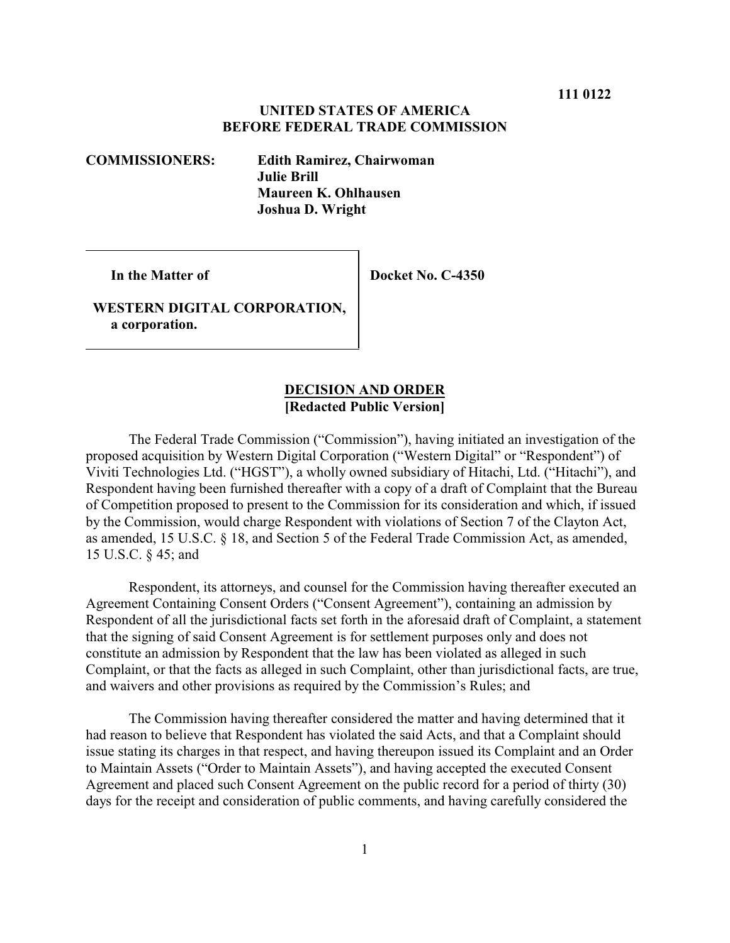#### **UNITED STATES OF AMERICA BEFORE FEDERAL TRADE COMMISSION**

**COMMISSIONERS: Edith Ramirez, Chairwoman Julie Brill Maureen K. Ohlhausen Joshua D. Wright**

 **In the Matter of**

 **Docket No. C-4350**

 **WESTERN DIGITAL CORPORATION, a corporation.**

#### **DECISION AND ORDER [Redacted Public Version]**

The Federal Trade Commission ("Commission"), having initiated an investigation of the proposed acquisition by Western Digital Corporation ("Western Digital" or "Respondent") of Viviti Technologies Ltd. ("HGST"), a wholly owned subsidiary of Hitachi, Ltd. ("Hitachi"), and Respondent having been furnished thereafter with a copy of a draft of Complaint that the Bureau of Competition proposed to present to the Commission for its consideration and which, if issued by the Commission, would charge Respondent with violations of Section 7 of the Clayton Act, as amended, 15 U.S.C. § 18, and Section 5 of the Federal Trade Commission Act, as amended, 15 U.S.C. § 45; and

Respondent, its attorneys, and counsel for the Commission having thereafter executed an Agreement Containing Consent Orders ("Consent Agreement"), containing an admission by Respondent of all the jurisdictional facts set forth in the aforesaid draft of Complaint, a statement that the signing of said Consent Agreement is for settlement purposes only and does not constitute an admission by Respondent that the law has been violated as alleged in such Complaint, or that the facts as alleged in such Complaint, other than jurisdictional facts, are true, and waivers and other provisions as required by the Commission's Rules; and

The Commission having thereafter considered the matter and having determined that it had reason to believe that Respondent has violated the said Acts, and that a Complaint should issue stating its charges in that respect, and having thereupon issued its Complaint and an Order to Maintain Assets ("Order to Maintain Assets"), and having accepted the executed Consent Agreement and placed such Consent Agreement on the public record for a period of thirty (30) days for the receipt and consideration of public comments, and having carefully considered the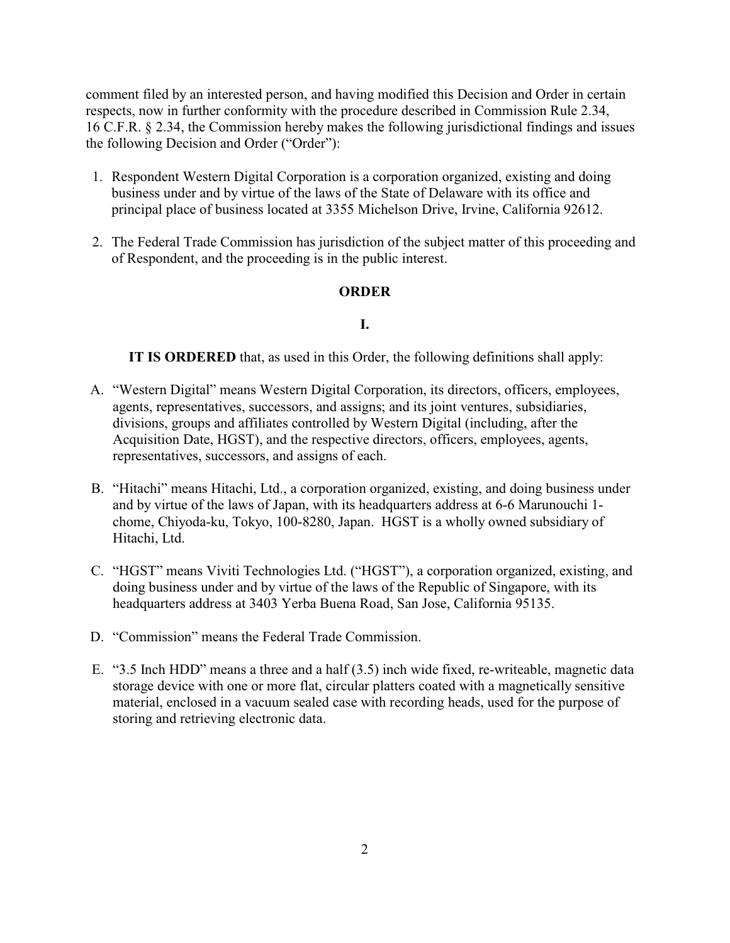comment filed by an interested person, and having modified this Decision and Order in certain respects, now in further conformity with the procedure described in Commission Rule 2.34, 16 C.F.R. § 2.34, the Commission hereby makes the following jurisdictional findings and issues the following Decision and Order ("Order"):

- 1. Respondent Western Digital Corporation is a corporation organized, existing and doing business under and by virtue of the laws of the State of Delaware with its office and principal place of business located at 3355 Michelson Drive, Irvine, California 92612.
- 2. The Federal Trade Commission has jurisdiction of the subject matter of this proceeding and of Respondent, and the proceeding is in the public interest.

## **ORDER**

#### **I.**

**IT IS ORDERED** that, as used in this Order, the following definitions shall apply:

- A. "Western Digital" means Western Digital Corporation, its directors, officers, employees, agents, representatives, successors, and assigns; and its joint ventures, subsidiaries, divisions, groups and affiliates controlled by Western Digital (including, after the Acquisition Date, HGST), and the respective directors, officers, employees, agents, representatives, successors, and assigns of each.
- B. "Hitachi" means Hitachi, Ltd., a corporation organized, existing, and doing business under and by virtue of the laws of Japan, with its headquarters address at 6-6 Marunouchi 1 chome, Chiyoda-ku, Tokyo, 100-8280, Japan. HGST is a wholly owned subsidiary of Hitachi, Ltd.
- C. "HGST" means Viviti Technologies Ltd. ("HGST"), a corporation organized, existing, and doing business under and by virtue of the laws of the Republic of Singapore, with its headquarters address at 3403 Yerba Buena Road, San Jose, California 95135.
- D. "Commission" means the Federal Trade Commission.
- E. "3.5 Inch HDD" means a three and a half (3.5) inch wide fixed, re-writeable, magnetic data storage device with one or more flat, circular platters coated with a magnetically sensitive material, enclosed in a vacuum sealed case with recording heads, used for the purpose of storing and retrieving electronic data.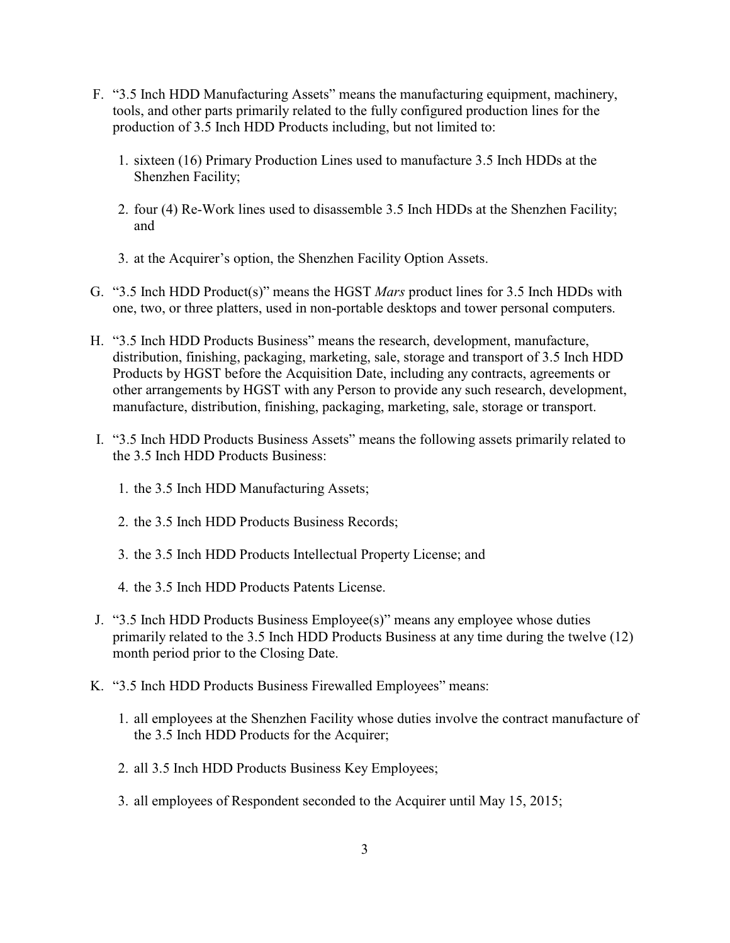- F. "3.5 Inch HDD Manufacturing Assets" means the manufacturing equipment, machinery, tools, and other parts primarily related to the fully configured production lines for the production of 3.5 Inch HDD Products including, but not limited to:
	- 1. sixteen (16) Primary Production Lines used to manufacture 3.5 Inch HDDs at the Shenzhen Facility;
	- 2. four (4) Re-Work lines used to disassemble 3.5 Inch HDDs at the Shenzhen Facility; and
	- 3. at the Acquirer's option, the Shenzhen Facility Option Assets.
- G. "3.5 Inch HDD Product(s)" means the HGST *Mars* product lines for 3.5 Inch HDDs with one, two, or three platters, used in non-portable desktops and tower personal computers.
- H. "3.5 Inch HDD Products Business" means the research, development, manufacture, distribution, finishing, packaging, marketing, sale, storage and transport of 3.5 Inch HDD Products by HGST before the Acquisition Date, including any contracts, agreements or other arrangements by HGST with any Person to provide any such research, development, manufacture, distribution, finishing, packaging, marketing, sale, storage or transport.
- I. "3.5 Inch HDD Products Business Assets" means the following assets primarily related to the 3.5 Inch HDD Products Business:
	- 1. the 3.5 Inch HDD Manufacturing Assets;
	- 2. the 3.5 Inch HDD Products Business Records;
	- 3. the 3.5 Inch HDD Products Intellectual Property License; and
	- 4. the 3.5 Inch HDD Products Patents License.
- J. "3.5 Inch HDD Products Business Employee(s)" means any employee whose duties primarily related to the 3.5 Inch HDD Products Business at any time during the twelve (12) month period prior to the Closing Date.
- K. "3.5 Inch HDD Products Business Firewalled Employees" means:
	- 1. all employees at the Shenzhen Facility whose duties involve the contract manufacture of the 3.5 Inch HDD Products for the Acquirer;
	- 2. all 3.5 Inch HDD Products Business Key Employees;
	- 3. all employees of Respondent seconded to the Acquirer until May 15, 2015;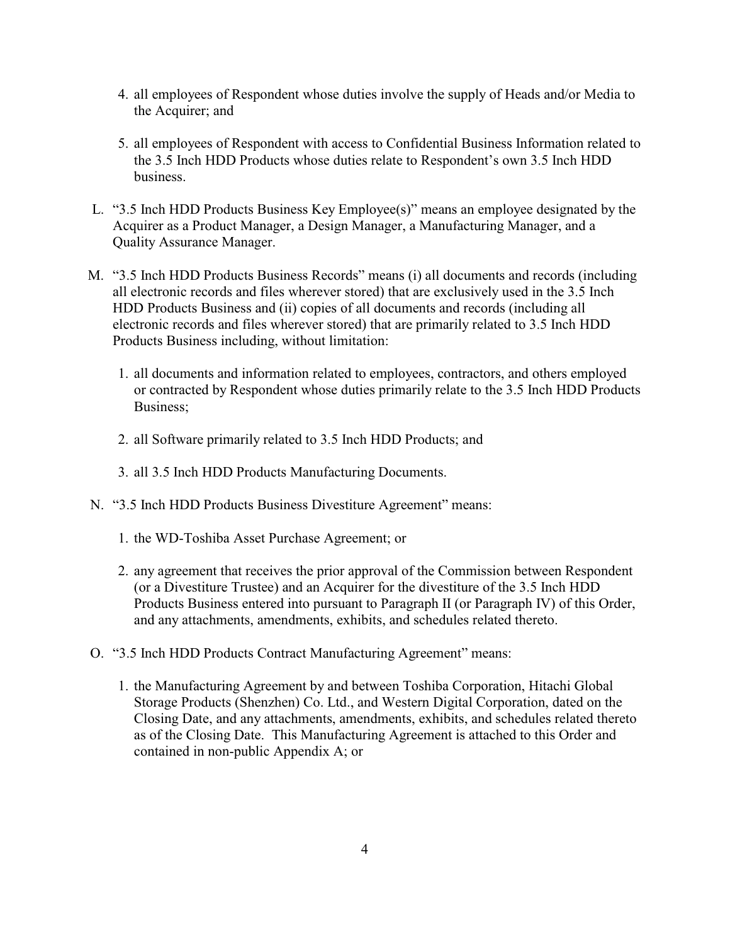- 4. all employees of Respondent whose duties involve the supply of Heads and/or Media to the Acquirer; and
- 5. all employees of Respondent with access to Confidential Business Information related to the 3.5 Inch HDD Products whose duties relate to Respondent's own 3.5 Inch HDD business.
- L. "3.5 Inch HDD Products Business Key Employee(s)" means an employee designated by the Acquirer as a Product Manager, a Design Manager, a Manufacturing Manager, and a Quality Assurance Manager.
- M. "3.5 Inch HDD Products Business Records" means (i) all documents and records (including all electronic records and files wherever stored) that are exclusively used in the 3.5 Inch HDD Products Business and (ii) copies of all documents and records (including all electronic records and files wherever stored) that are primarily related to 3.5 Inch HDD Products Business including, without limitation:
	- 1. all documents and information related to employees, contractors, and others employed or contracted by Respondent whose duties primarily relate to the 3.5 Inch HDD Products Business;
	- 2. all Software primarily related to 3.5 Inch HDD Products; and
	- 3. all 3.5 Inch HDD Products Manufacturing Documents.
- N. "3.5 Inch HDD Products Business Divestiture Agreement" means:
	- 1. the WD-Toshiba Asset Purchase Agreement; or
	- 2. any agreement that receives the prior approval of the Commission between Respondent (or a Divestiture Trustee) and an Acquirer for the divestiture of the 3.5 Inch HDD Products Business entered into pursuant to Paragraph II (or Paragraph IV) of this Order, and any attachments, amendments, exhibits, and schedules related thereto.
- O. "3.5 Inch HDD Products Contract Manufacturing Agreement" means:
	- 1. the Manufacturing Agreement by and between Toshiba Corporation, Hitachi Global Storage Products (Shenzhen) Co. Ltd., and Western Digital Corporation, dated on the Closing Date, and any attachments, amendments, exhibits, and schedules related thereto as of the Closing Date. This Manufacturing Agreement is attached to this Order and contained in non-public Appendix A; or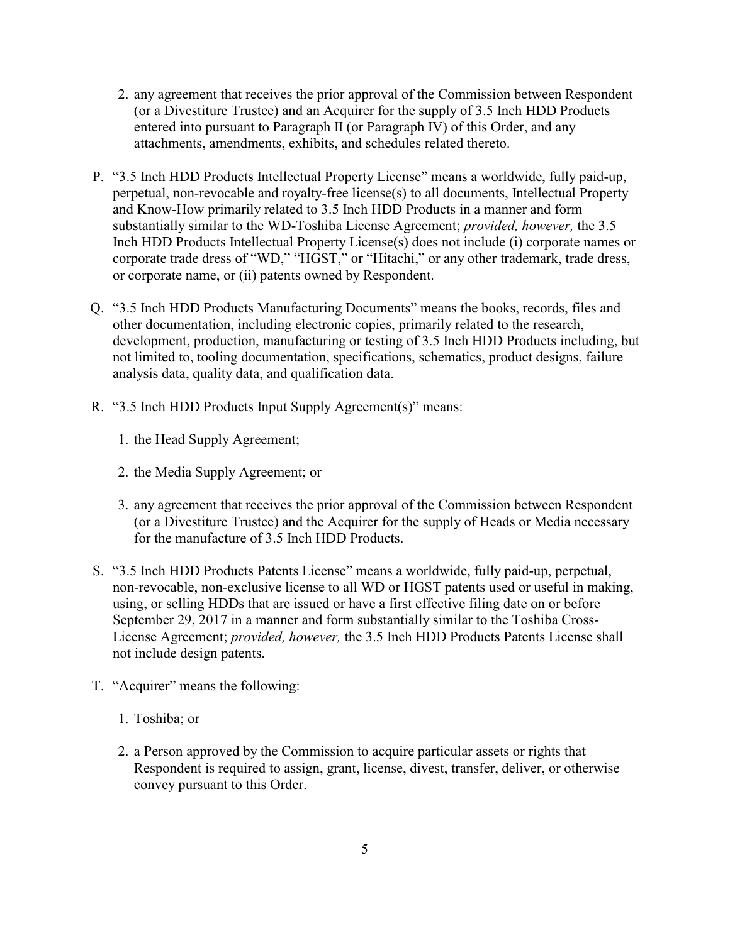- 2. any agreement that receives the prior approval of the Commission between Respondent (or a Divestiture Trustee) and an Acquirer for the supply of 3.5 Inch HDD Products entered into pursuant to Paragraph II (or Paragraph IV) of this Order, and any attachments, amendments, exhibits, and schedules related thereto.
- P. "3.5 Inch HDD Products Intellectual Property License" means a worldwide, fully paid-up, perpetual, non-revocable and royalty-free license(s) to all documents, Intellectual Property and Know-How primarily related to 3.5 Inch HDD Products in a manner and form substantially similar to the WD-Toshiba License Agreement; *provided, however,* the 3.5 Inch HDD Products Intellectual Property License(s) does not include (i) corporate names or corporate trade dress of "WD," "HGST," or "Hitachi," or any other trademark, trade dress, or corporate name, or (ii) patents owned by Respondent.
- Q. "3.5 Inch HDD Products Manufacturing Documents" means the books, records, files and other documentation, including electronic copies, primarily related to the research, development, production, manufacturing or testing of 3.5 Inch HDD Products including, but not limited to, tooling documentation, specifications, schematics, product designs, failure analysis data, quality data, and qualification data.
- R. "3.5 Inch HDD Products Input Supply Agreement(s)" means:
	- 1. the Head Supply Agreement;
	- 2. the Media Supply Agreement; or
	- 3. any agreement that receives the prior approval of the Commission between Respondent (or a Divestiture Trustee) and the Acquirer for the supply of Heads or Media necessary for the manufacture of 3.5 Inch HDD Products.
- S. "3.5 Inch HDD Products Patents License" means a worldwide, fully paid-up, perpetual, non-revocable, non-exclusive license to all WD or HGST patents used or useful in making, using, or selling HDDs that are issued or have a first effective filing date on or before September 29, 2017 in a manner and form substantially similar to the Toshiba Cross-License Agreement; *provided, however,* the 3.5 Inch HDD Products Patents License shall not include design patents.
- T. "Acquirer" means the following:
	- 1. Toshiba; or
	- 2. a Person approved by the Commission to acquire particular assets or rights that Respondent is required to assign, grant, license, divest, transfer, deliver, or otherwise convey pursuant to this Order.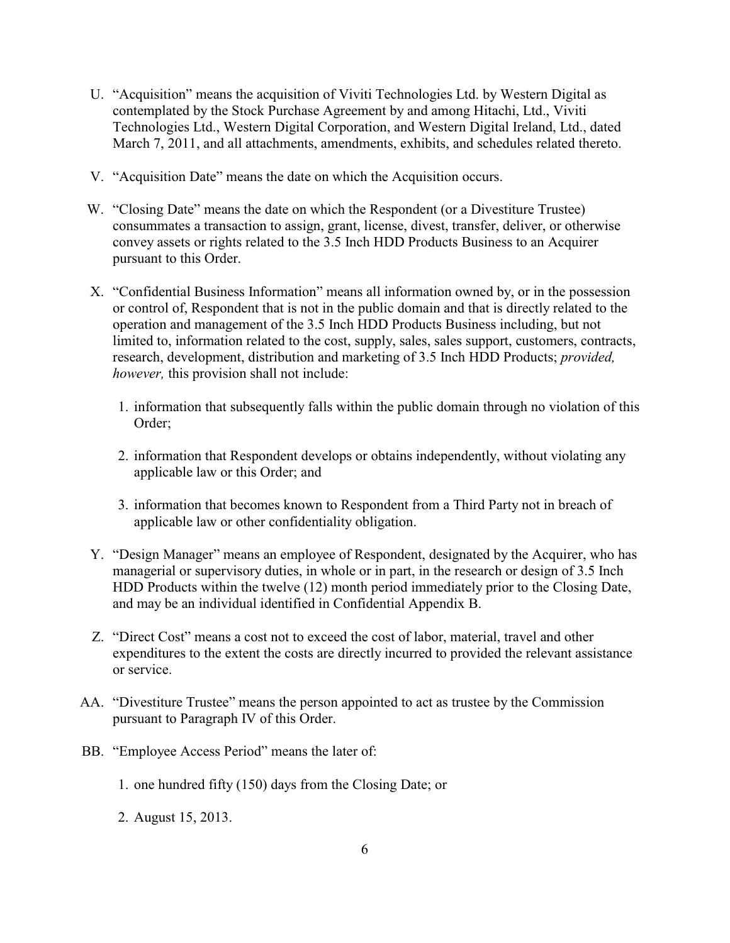- U. "Acquisition" means the acquisition of Viviti Technologies Ltd. by Western Digital as contemplated by the Stock Purchase Agreement by and among Hitachi, Ltd., Viviti Technologies Ltd., Western Digital Corporation, and Western Digital Ireland, Ltd., dated March 7, 2011, and all attachments, amendments, exhibits, and schedules related thereto.
- V. "Acquisition Date" means the date on which the Acquisition occurs.
- W. "Closing Date" means the date on which the Respondent (or a Divestiture Trustee) consummates a transaction to assign, grant, license, divest, transfer, deliver, or otherwise convey assets or rights related to the 3.5 Inch HDD Products Business to an Acquirer pursuant to this Order.
- X. "Confidential Business Information" means all information owned by, or in the possession or control of, Respondent that is not in the public domain and that is directly related to the operation and management of the 3.5 Inch HDD Products Business including, but not limited to, information related to the cost, supply, sales, sales support, customers, contracts, research, development, distribution and marketing of 3.5 Inch HDD Products; *provided, however,* this provision shall not include:
	- 1. information that subsequently falls within the public domain through no violation of this Order;
	- 2. information that Respondent develops or obtains independently, without violating any applicable law or this Order; and
	- 3. information that becomes known to Respondent from a Third Party not in breach of applicable law or other confidentiality obligation.
- Y. "Design Manager" means an employee of Respondent, designated by the Acquirer, who has managerial or supervisory duties, in whole or in part, in the research or design of 3.5 Inch HDD Products within the twelve (12) month period immediately prior to the Closing Date, and may be an individual identified in Confidential Appendix B.
- Z. "Direct Cost" means a cost not to exceed the cost of labor, material, travel and other expenditures to the extent the costs are directly incurred to provided the relevant assistance or service.
- AA. "Divestiture Trustee" means the person appointed to act as trustee by the Commission pursuant to Paragraph IV of this Order.
- BB. "Employee Access Period" means the later of:
	- 1. one hundred fifty (150) days from the Closing Date; or
	- 2. August 15, 2013.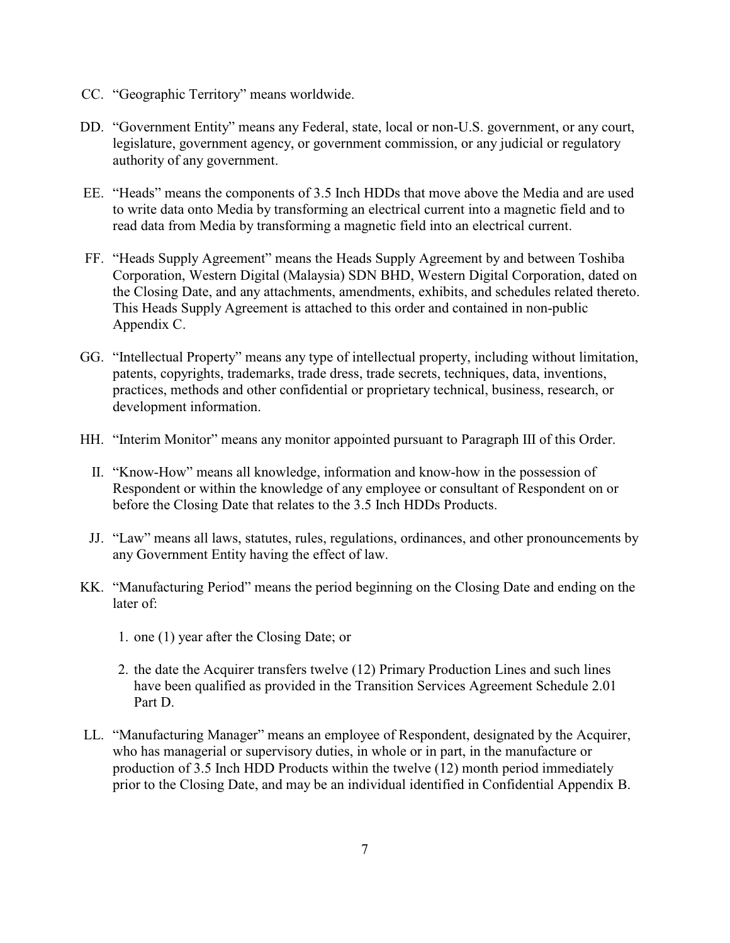- CC. "Geographic Territory" means worldwide.
- DD. "Government Entity" means any Federal, state, local or non-U.S. government, or any court, legislature, government agency, or government commission, or any judicial or regulatory authority of any government.
- EE. "Heads" means the components of 3.5 Inch HDDs that move above the Media and are used to write data onto Media by transforming an electrical current into a magnetic field and to read data from Media by transforming a magnetic field into an electrical current.
- FF. "Heads Supply Agreement" means the Heads Supply Agreement by and between Toshiba Corporation, Western Digital (Malaysia) SDN BHD, Western Digital Corporation, dated on the Closing Date, and any attachments, amendments, exhibits, and schedules related thereto. This Heads Supply Agreement is attached to this order and contained in non-public Appendix C.
- GG. "Intellectual Property" means any type of intellectual property, including without limitation, patents, copyrights, trademarks, trade dress, trade secrets, techniques, data, inventions, practices, methods and other confidential or proprietary technical, business, research, or development information.
- HH. "Interim Monitor" means any monitor appointed pursuant to Paragraph III of this Order.
	- II. "Know-How" means all knowledge, information and know-how in the possession of Respondent or within the knowledge of any employee or consultant of Respondent on or before the Closing Date that relates to the 3.5 Inch HDDs Products.
	- JJ. "Law" means all laws, statutes, rules, regulations, ordinances, and other pronouncements by any Government Entity having the effect of law.
- KK. "Manufacturing Period" means the period beginning on the Closing Date and ending on the later of:
	- 1. one (1) year after the Closing Date; or
	- 2. the date the Acquirer transfers twelve (12) Primary Production Lines and such lines have been qualified as provided in the Transition Services Agreement Schedule 2.01 Part D.
- LL. "Manufacturing Manager" means an employee of Respondent, designated by the Acquirer, who has managerial or supervisory duties, in whole or in part, in the manufacture or production of 3.5 Inch HDD Products within the twelve (12) month period immediately prior to the Closing Date, and may be an individual identified in Confidential Appendix B.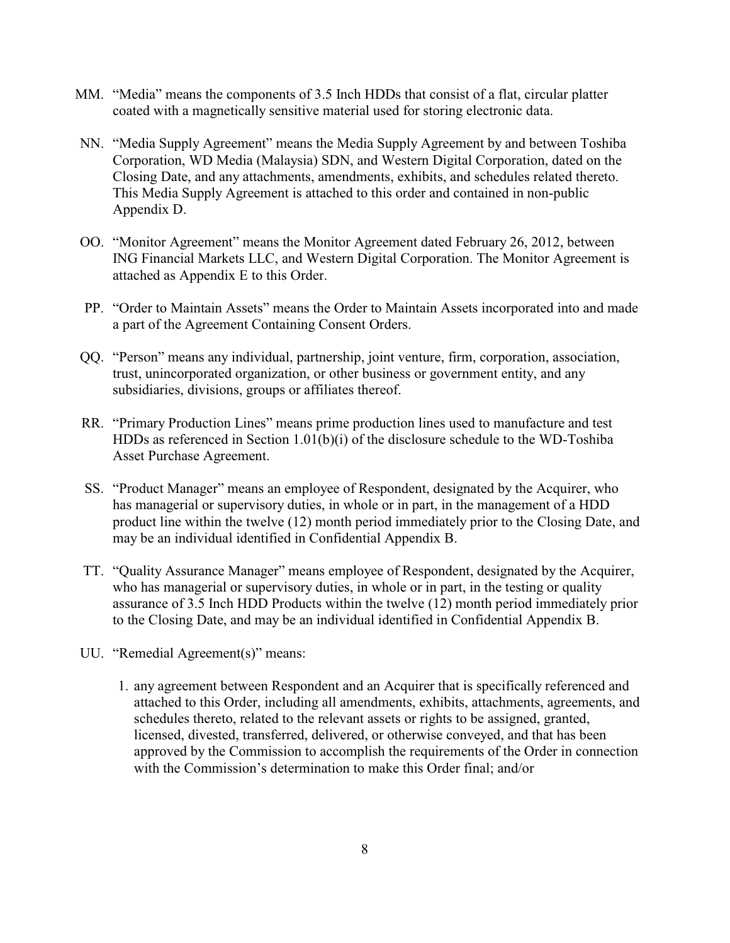- MM. "Media" means the components of 3.5 Inch HDDs that consist of a flat, circular platter coated with a magnetically sensitive material used for storing electronic data.
- NN. "Media Supply Agreement" means the Media Supply Agreement by and between Toshiba Corporation, WD Media (Malaysia) SDN, and Western Digital Corporation, dated on the Closing Date, and any attachments, amendments, exhibits, and schedules related thereto. This Media Supply Agreement is attached to this order and contained in non-public Appendix D.
- OO. "Monitor Agreement" means the Monitor Agreement dated February 26, 2012, between ING Financial Markets LLC, and Western Digital Corporation. The Monitor Agreement is attached as Appendix E to this Order.
- PP. "Order to Maintain Assets" means the Order to Maintain Assets incorporated into and made a part of the Agreement Containing Consent Orders.
- QQ. "Person" means any individual, partnership, joint venture, firm, corporation, association, trust, unincorporated organization, or other business or government entity, and any subsidiaries, divisions, groups or affiliates thereof.
- RR. "Primary Production Lines" means prime production lines used to manufacture and test HDDs as referenced in Section 1.01(b)(i) of the disclosure schedule to the WD-Toshiba Asset Purchase Agreement.
- SS. "Product Manager" means an employee of Respondent, designated by the Acquirer, who has managerial or supervisory duties, in whole or in part, in the management of a HDD product line within the twelve (12) month period immediately prior to the Closing Date, and may be an individual identified in Confidential Appendix B.
- TT. "Quality Assurance Manager" means employee of Respondent, designated by the Acquirer, who has managerial or supervisory duties, in whole or in part, in the testing or quality assurance of 3.5 Inch HDD Products within the twelve (12) month period immediately prior to the Closing Date, and may be an individual identified in Confidential Appendix B.
- UU. "Remedial Agreement(s)" means:
	- 1. any agreement between Respondent and an Acquirer that is specifically referenced and attached to this Order, including all amendments, exhibits, attachments, agreements, and schedules thereto, related to the relevant assets or rights to be assigned, granted, licensed, divested, transferred, delivered, or otherwise conveyed, and that has been approved by the Commission to accomplish the requirements of the Order in connection with the Commission's determination to make this Order final: and/or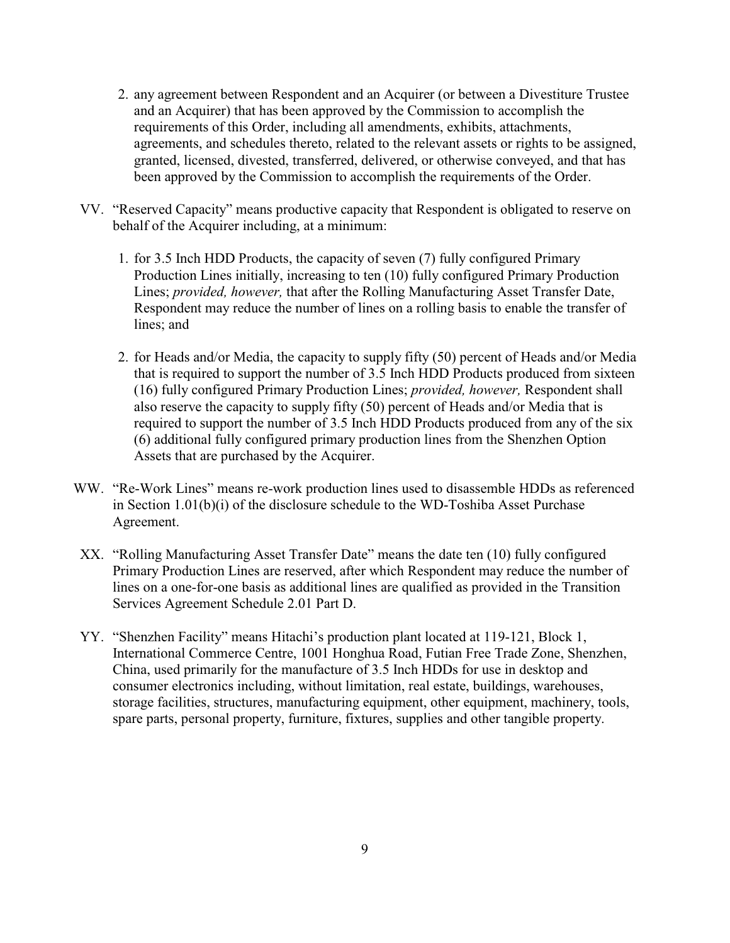- 2. any agreement between Respondent and an Acquirer (or between a Divestiture Trustee and an Acquirer) that has been approved by the Commission to accomplish the requirements of this Order, including all amendments, exhibits, attachments, agreements, and schedules thereto, related to the relevant assets or rights to be assigned, granted, licensed, divested, transferred, delivered, or otherwise conveyed, and that has been approved by the Commission to accomplish the requirements of the Order.
- VV. "Reserved Capacity" means productive capacity that Respondent is obligated to reserve on behalf of the Acquirer including, at a minimum:
	- 1. for 3.5 Inch HDD Products, the capacity of seven (7) fully configured Primary Production Lines initially, increasing to ten (10) fully configured Primary Production Lines; *provided, however,* that after the Rolling Manufacturing Asset Transfer Date, Respondent may reduce the number of lines on a rolling basis to enable the transfer of lines; and
	- 2. for Heads and/or Media, the capacity to supply fifty (50) percent of Heads and/or Media that is required to support the number of 3.5 Inch HDD Products produced from sixteen (16) fully configured Primary Production Lines; *provided, however,* Respondent shall also reserve the capacity to supply fifty (50) percent of Heads and/or Media that is required to support the number of 3.5 Inch HDD Products produced from any of the six (6) additional fully configured primary production lines from the Shenzhen Option Assets that are purchased by the Acquirer.
- WW. "Re-Work Lines" means re-work production lines used to disassemble HDDs as referenced in Section 1.01(b)(i) of the disclosure schedule to the WD-Toshiba Asset Purchase Agreement.
- XX. "Rolling Manufacturing Asset Transfer Date" means the date ten (10) fully configured Primary Production Lines are reserved, after which Respondent may reduce the number of lines on a one-for-one basis as additional lines are qualified as provided in the Transition Services Agreement Schedule 2.01 Part D.
- YY. "Shenzhen Facility" means Hitachi's production plant located at 119-121, Block 1, International Commerce Centre, 1001 Honghua Road, Futian Free Trade Zone, Shenzhen, China, used primarily for the manufacture of 3.5 Inch HDDs for use in desktop and consumer electronics including, without limitation, real estate, buildings, warehouses, storage facilities, structures, manufacturing equipment, other equipment, machinery, tools, spare parts, personal property, furniture, fixtures, supplies and other tangible property.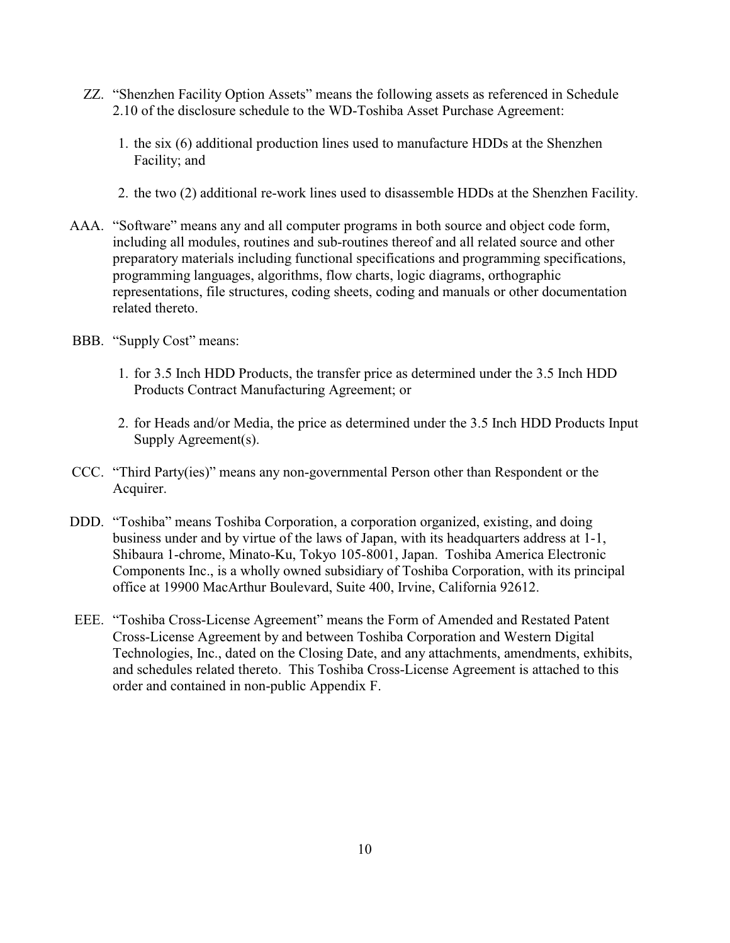- ZZ. "Shenzhen Facility Option Assets" means the following assets as referenced in Schedule 2.10 of the disclosure schedule to the WD-Toshiba Asset Purchase Agreement:
	- 1. the six (6) additional production lines used to manufacture HDDs at the Shenzhen Facility; and
	- 2. the two (2) additional re-work lines used to disassemble HDDs at the Shenzhen Facility.
- AAA. "Software" means any and all computer programs in both source and object code form, including all modules, routines and sub-routines thereof and all related source and other preparatory materials including functional specifications and programming specifications, programming languages, algorithms, flow charts, logic diagrams, orthographic representations, file structures, coding sheets, coding and manuals or other documentation related thereto.
- BBB. "Supply Cost" means:
	- 1. for 3.5 Inch HDD Products, the transfer price as determined under the 3.5 Inch HDD Products Contract Manufacturing Agreement; or
	- 2. for Heads and/or Media, the price as determined under the 3.5 Inch HDD Products Input Supply Agreement(s).
- CCC. "Third Party(ies)" means any non-governmental Person other than Respondent or the Acquirer.
- DDD. "Toshiba" means Toshiba Corporation, a corporation organized, existing, and doing business under and by virtue of the laws of Japan, with its headquarters address at 1-1, Shibaura 1-chrome, Minato-Ku, Tokyo 105-8001, Japan. Toshiba America Electronic Components Inc., is a wholly owned subsidiary of Toshiba Corporation, with its principal office at 19900 MacArthur Boulevard, Suite 400, Irvine, California 92612.
- EEE. "Toshiba Cross-License Agreement" means the Form of Amended and Restated Patent Cross-License Agreement by and between Toshiba Corporation and Western Digital Technologies, Inc., dated on the Closing Date, and any attachments, amendments, exhibits, and schedules related thereto. This Toshiba Cross-License Agreement is attached to this order and contained in non-public Appendix F.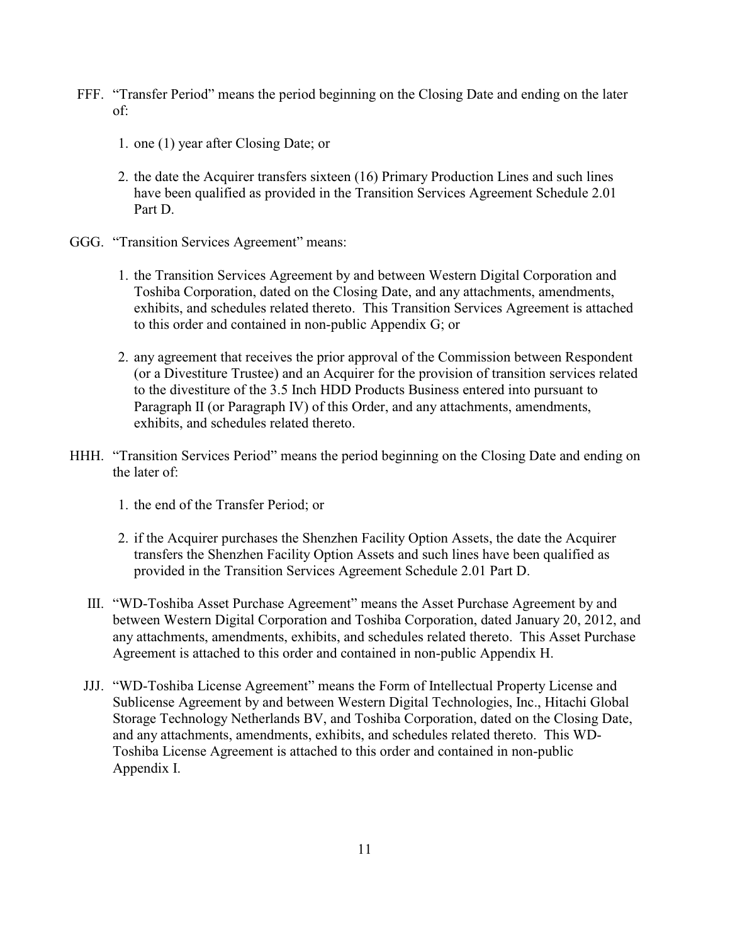- FFF. "Transfer Period" means the period beginning on the Closing Date and ending on the later of:
	- 1. one (1) year after Closing Date; or
	- 2. the date the Acquirer transfers sixteen (16) Primary Production Lines and such lines have been qualified as provided in the Transition Services Agreement Schedule 2.01 Part D.
- GGG. "Transition Services Agreement" means:
	- 1. the Transition Services Agreement by and between Western Digital Corporation and Toshiba Corporation, dated on the Closing Date, and any attachments, amendments, exhibits, and schedules related thereto. This Transition Services Agreement is attached to this order and contained in non-public Appendix G; or
	- 2. any agreement that receives the prior approval of the Commission between Respondent (or a Divestiture Trustee) and an Acquirer for the provision of transition services related to the divestiture of the 3.5 Inch HDD Products Business entered into pursuant to Paragraph II (or Paragraph IV) of this Order, and any attachments, amendments, exhibits, and schedules related thereto.
- HHH. "Transition Services Period" means the period beginning on the Closing Date and ending on the later of:
	- 1. the end of the Transfer Period; or
	- 2. if the Acquirer purchases the Shenzhen Facility Option Assets, the date the Acquirer transfers the Shenzhen Facility Option Assets and such lines have been qualified as provided in the Transition Services Agreement Schedule 2.01 Part D.
	- III. "WD-Toshiba Asset Purchase Agreement" means the Asset Purchase Agreement by and between Western Digital Corporation and Toshiba Corporation, dated January 20, 2012, and any attachments, amendments, exhibits, and schedules related thereto. This Asset Purchase Agreement is attached to this order and contained in non-public Appendix H.
	- JJJ. "WD-Toshiba License Agreement" means the Form of Intellectual Property License and Sublicense Agreement by and between Western Digital Technologies, Inc., Hitachi Global Storage Technology Netherlands BV, and Toshiba Corporation, dated on the Closing Date, and any attachments, amendments, exhibits, and schedules related thereto. This WD-Toshiba License Agreement is attached to this order and contained in non-public Appendix I.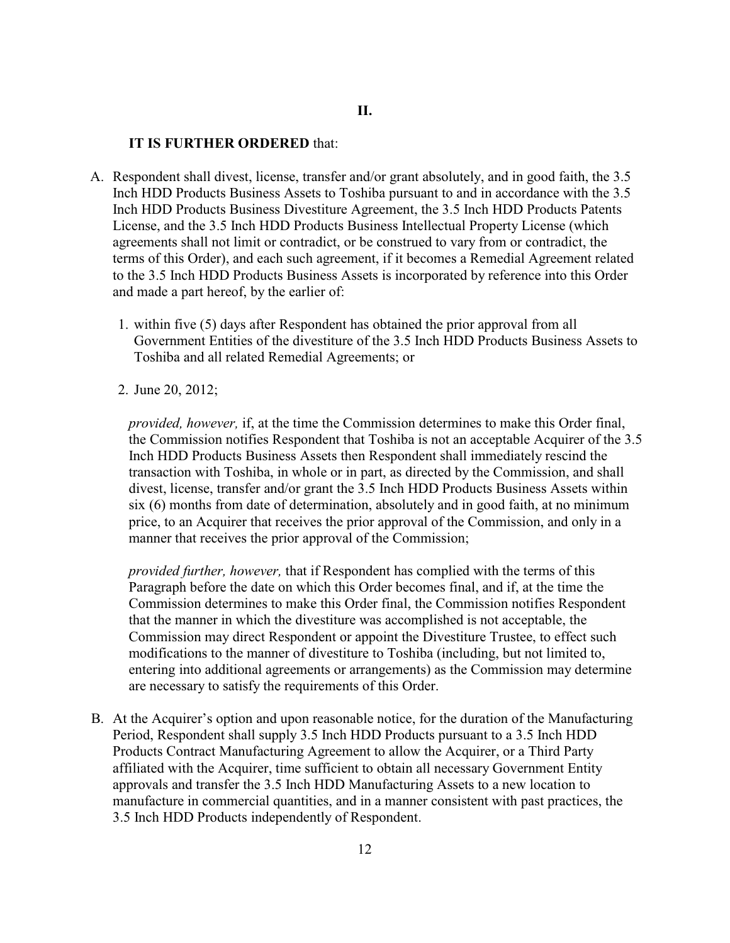#### **IT IS FURTHER ORDERED** that:

- A. Respondent shall divest, license, transfer and/or grant absolutely, and in good faith, the 3.5 Inch HDD Products Business Assets to Toshiba pursuant to and in accordance with the 3.5 Inch HDD Products Business Divestiture Agreement, the 3.5 Inch HDD Products Patents License, and the 3.5 Inch HDD Products Business Intellectual Property License (which agreements shall not limit or contradict, or be construed to vary from or contradict, the terms of this Order), and each such agreement, if it becomes a Remedial Agreement related to the 3.5 Inch HDD Products Business Assets is incorporated by reference into this Order and made a part hereof, by the earlier of:
	- 1. within five (5) days after Respondent has obtained the prior approval from all Government Entities of the divestiture of the 3.5 Inch HDD Products Business Assets to Toshiba and all related Remedial Agreements; or
	- 2. June 20, 2012;

*provided, however,* if, at the time the Commission determines to make this Order final, the Commission notifies Respondent that Toshiba is not an acceptable Acquirer of the 3.5 Inch HDD Products Business Assets then Respondent shall immediately rescind the transaction with Toshiba, in whole or in part, as directed by the Commission, and shall divest, license, transfer and/or grant the 3.5 Inch HDD Products Business Assets within six (6) months from date of determination, absolutely and in good faith, at no minimum price, to an Acquirer that receives the prior approval of the Commission, and only in a manner that receives the prior approval of the Commission;

*provided further, however,* that if Respondent has complied with the terms of this Paragraph before the date on which this Order becomes final, and if, at the time the Commission determines to make this Order final, the Commission notifies Respondent that the manner in which the divestiture was accomplished is not acceptable, the Commission may direct Respondent or appoint the Divestiture Trustee, to effect such modifications to the manner of divestiture to Toshiba (including, but not limited to, entering into additional agreements or arrangements) as the Commission may determine are necessary to satisfy the requirements of this Order.

B. At the Acquirer's option and upon reasonable notice, for the duration of the Manufacturing Period, Respondent shall supply 3.5 Inch HDD Products pursuant to a 3.5 Inch HDD Products Contract Manufacturing Agreement to allow the Acquirer, or a Third Party affiliated with the Acquirer, time sufficient to obtain all necessary Government Entity approvals and transfer the 3.5 Inch HDD Manufacturing Assets to a new location to manufacture in commercial quantities, and in a manner consistent with past practices, the 3.5 Inch HDD Products independently of Respondent.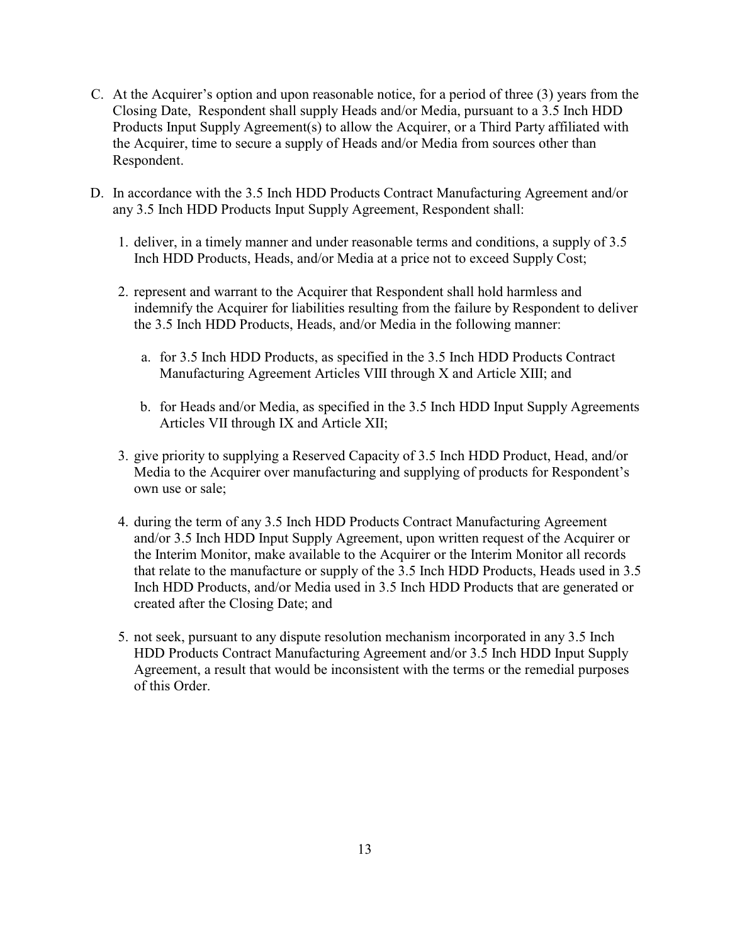- C. At the Acquirer's option and upon reasonable notice, for a period of three (3) years from the Closing Date, Respondent shall supply Heads and/or Media, pursuant to a 3.5 Inch HDD Products Input Supply Agreement(s) to allow the Acquirer, or a Third Party affiliated with the Acquirer, time to secure a supply of Heads and/or Media from sources other than Respondent.
- D. In accordance with the 3.5 Inch HDD Products Contract Manufacturing Agreement and/or any 3.5 Inch HDD Products Input Supply Agreement, Respondent shall:
	- 1. deliver, in a timely manner and under reasonable terms and conditions, a supply of 3.5 Inch HDD Products, Heads, and/or Media at a price not to exceed Supply Cost;
	- 2. represent and warrant to the Acquirer that Respondent shall hold harmless and indemnify the Acquirer for liabilities resulting from the failure by Respondent to deliver the 3.5 Inch HDD Products, Heads, and/or Media in the following manner:
		- a. for 3.5 Inch HDD Products, as specified in the 3.5 Inch HDD Products Contract Manufacturing Agreement Articles VIII through X and Article XIII; and
		- b. for Heads and/or Media, as specified in the 3.5 Inch HDD Input Supply Agreements Articles VII through IX and Article XII;
	- 3. give priority to supplying a Reserved Capacity of 3.5 Inch HDD Product, Head, and/or Media to the Acquirer over manufacturing and supplying of products for Respondent's own use or sale;
	- 4. during the term of any 3.5 Inch HDD Products Contract Manufacturing Agreement and/or 3.5 Inch HDD Input Supply Agreement, upon written request of the Acquirer or the Interim Monitor, make available to the Acquirer or the Interim Monitor all records that relate to the manufacture or supply of the 3.5 Inch HDD Products, Heads used in 3.5 Inch HDD Products, and/or Media used in 3.5 Inch HDD Products that are generated or created after the Closing Date; and
	- 5. not seek, pursuant to any dispute resolution mechanism incorporated in any 3.5 Inch HDD Products Contract Manufacturing Agreement and/or 3.5 Inch HDD Input Supply Agreement, a result that would be inconsistent with the terms or the remedial purposes of this Order.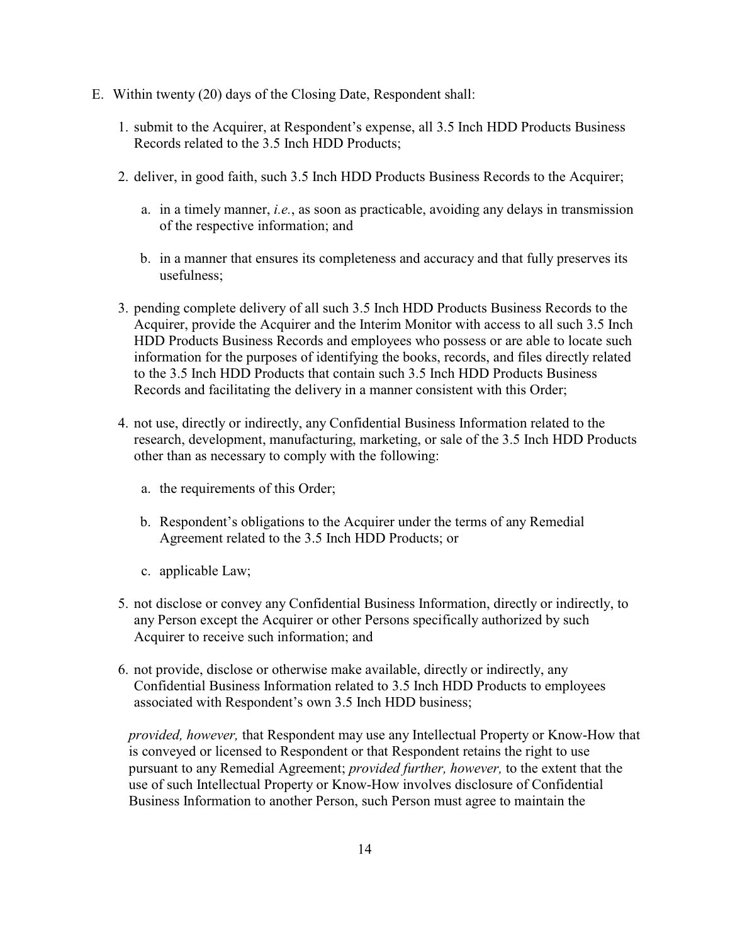- E. Within twenty (20) days of the Closing Date, Respondent shall:
	- 1. submit to the Acquirer, at Respondent's expense, all 3.5 Inch HDD Products Business Records related to the 3.5 Inch HDD Products;
	- 2. deliver, in good faith, such 3.5 Inch HDD Products Business Records to the Acquirer;
		- a. in a timely manner, *i.e.*, as soon as practicable, avoiding any delays in transmission of the respective information; and
		- b. in a manner that ensures its completeness and accuracy and that fully preserves its usefulness;
	- 3. pending complete delivery of all such 3.5 Inch HDD Products Business Records to the Acquirer, provide the Acquirer and the Interim Monitor with access to all such 3.5 Inch HDD Products Business Records and employees who possess or are able to locate such information for the purposes of identifying the books, records, and files directly related to the 3.5 Inch HDD Products that contain such 3.5 Inch HDD Products Business Records and facilitating the delivery in a manner consistent with this Order;
	- 4. not use, directly or indirectly, any Confidential Business Information related to the research, development, manufacturing, marketing, or sale of the 3.5 Inch HDD Products other than as necessary to comply with the following:
		- a. the requirements of this Order;
		- b. Respondent's obligations to the Acquirer under the terms of any Remedial Agreement related to the 3.5 Inch HDD Products; or
		- c. applicable Law;
	- 5. not disclose or convey any Confidential Business Information, directly or indirectly, to any Person except the Acquirer or other Persons specifically authorized by such Acquirer to receive such information; and
	- 6. not provide, disclose or otherwise make available, directly or indirectly, any Confidential Business Information related to 3.5 Inch HDD Products to employees associated with Respondent's own 3.5 Inch HDD business;

*provided, however,* that Respondent may use any Intellectual Property or Know-How that is conveyed or licensed to Respondent or that Respondent retains the right to use pursuant to any Remedial Agreement; *provided further, however,* to the extent that the use of such Intellectual Property or Know-How involves disclosure of Confidential Business Information to another Person, such Person must agree to maintain the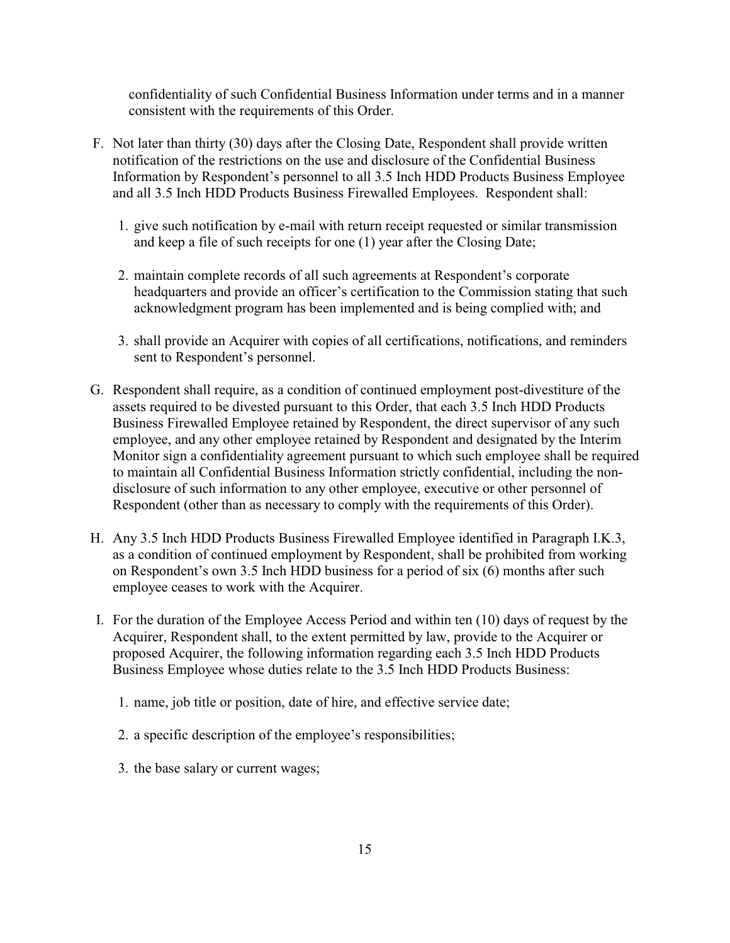confidentiality of such Confidential Business Information under terms and in a manner consistent with the requirements of this Order.

- F. Not later than thirty (30) days after the Closing Date, Respondent shall provide written notification of the restrictions on the use and disclosure of the Confidential Business Information by Respondent's personnel to all 3.5 Inch HDD Products Business Employee and all 3.5 Inch HDD Products Business Firewalled Employees. Respondent shall:
	- 1. give such notification by e-mail with return receipt requested or similar transmission and keep a file of such receipts for one (1) year after the Closing Date;
	- 2. maintain complete records of all such agreements at Respondent's corporate headquarters and provide an officer's certification to the Commission stating that such acknowledgment program has been implemented and is being complied with; and
	- 3. shall provide an Acquirer with copies of all certifications, notifications, and reminders sent to Respondent's personnel.
- G. Respondent shall require, as a condition of continued employment post-divestiture of the assets required to be divested pursuant to this Order, that each 3.5 Inch HDD Products Business Firewalled Employee retained by Respondent, the direct supervisor of any such employee, and any other employee retained by Respondent and designated by the Interim Monitor sign a confidentiality agreement pursuant to which such employee shall be required to maintain all Confidential Business Information strictly confidential, including the nondisclosure of such information to any other employee, executive or other personnel of Respondent (other than as necessary to comply with the requirements of this Order).
- H. Any 3.5 Inch HDD Products Business Firewalled Employee identified in Paragraph I.K.3, as a condition of continued employment by Respondent, shall be prohibited from working on Respondent's own 3.5 Inch HDD business for a period of six (6) months after such employee ceases to work with the Acquirer.
- I. For the duration of the Employee Access Period and within ten (10) days of request by the Acquirer, Respondent shall, to the extent permitted by law, provide to the Acquirer or proposed Acquirer, the following information regarding each 3.5 Inch HDD Products Business Employee whose duties relate to the 3.5 Inch HDD Products Business:
	- 1. name, job title or position, date of hire, and effective service date;
	- 2. a specific description of the employee's responsibilities;
	- 3. the base salary or current wages;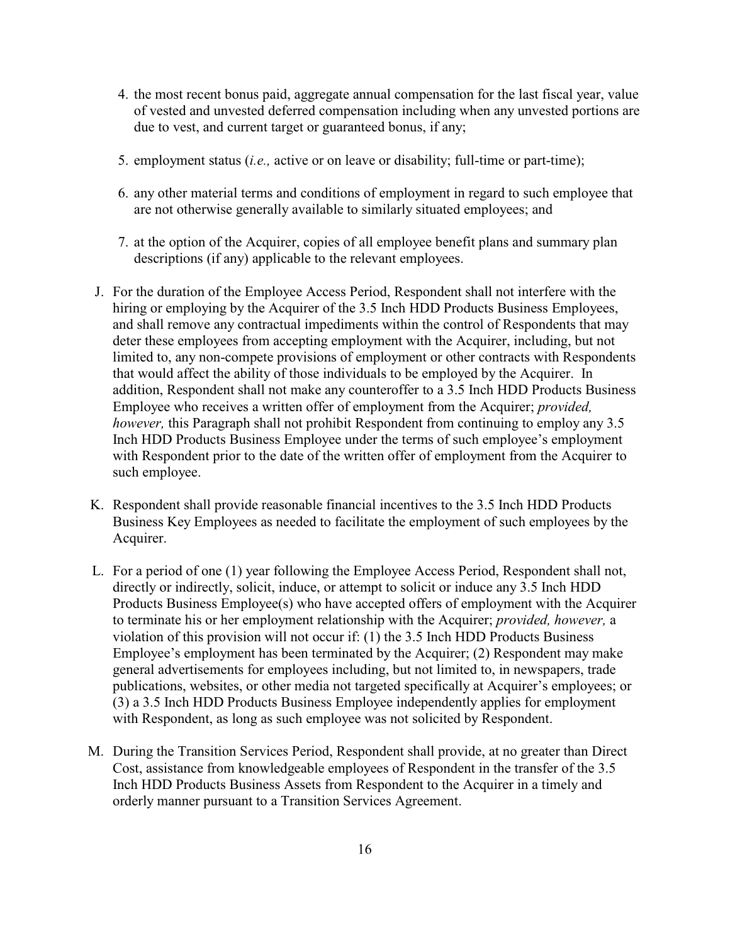- 4. the most recent bonus paid, aggregate annual compensation for the last fiscal year, value of vested and unvested deferred compensation including when any unvested portions are due to vest, and current target or guaranteed bonus, if any;
- 5. employment status (*i.e.,* active or on leave or disability; full-time or part-time);
- 6. any other material terms and conditions of employment in regard to such employee that are not otherwise generally available to similarly situated employees; and
- 7. at the option of the Acquirer, copies of all employee benefit plans and summary plan descriptions (if any) applicable to the relevant employees.
- J. For the duration of the Employee Access Period, Respondent shall not interfere with the hiring or employing by the Acquirer of the 3.5 Inch HDD Products Business Employees, and shall remove any contractual impediments within the control of Respondents that may deter these employees from accepting employment with the Acquirer, including, but not limited to, any non-compete provisions of employment or other contracts with Respondents that would affect the ability of those individuals to be employed by the Acquirer. In addition, Respondent shall not make any counteroffer to a 3.5 Inch HDD Products Business Employee who receives a written offer of employment from the Acquirer; *provided, however,* this Paragraph shall not prohibit Respondent from continuing to employ any 3.5 Inch HDD Products Business Employee under the terms of such employee's employment with Respondent prior to the date of the written offer of employment from the Acquirer to such employee.
- K. Respondent shall provide reasonable financial incentives to the 3.5 Inch HDD Products Business Key Employees as needed to facilitate the employment of such employees by the Acquirer.
- L. For a period of one (1) year following the Employee Access Period, Respondent shall not, directly or indirectly, solicit, induce, or attempt to solicit or induce any 3.5 Inch HDD Products Business Employee(s) who have accepted offers of employment with the Acquirer to terminate his or her employment relationship with the Acquirer; *provided, however,* a violation of this provision will not occur if: (1) the 3.5 Inch HDD Products Business Employee's employment has been terminated by the Acquirer; (2) Respondent may make general advertisements for employees including, but not limited to, in newspapers, trade publications, websites, or other media not targeted specifically at Acquirer's employees; or (3) a 3.5 Inch HDD Products Business Employee independently applies for employment with Respondent, as long as such employee was not solicited by Respondent.
- M. During the Transition Services Period, Respondent shall provide, at no greater than Direct Cost, assistance from knowledgeable employees of Respondent in the transfer of the 3.5 Inch HDD Products Business Assets from Respondent to the Acquirer in a timely and orderly manner pursuant to a Transition Services Agreement.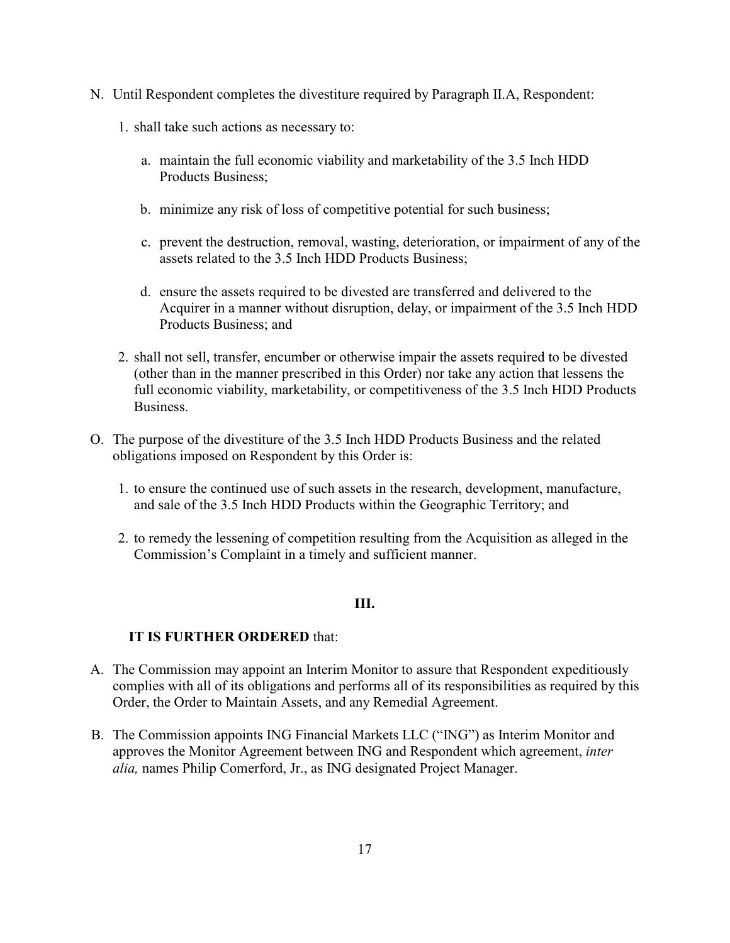- N. Until Respondent completes the divestiture required by Paragraph II.A, Respondent:
	- 1. shall take such actions as necessary to:
		- a. maintain the full economic viability and marketability of the 3.5 Inch HDD Products Business;
		- b. minimize any risk of loss of competitive potential for such business;
		- c. prevent the destruction, removal, wasting, deterioration, or impairment of any of the assets related to the 3.5 Inch HDD Products Business;
		- d. ensure the assets required to be divested are transferred and delivered to the Acquirer in a manner without disruption, delay, or impairment of the 3.5 Inch HDD Products Business; and
	- 2. shall not sell, transfer, encumber or otherwise impair the assets required to be divested (other than in the manner prescribed in this Order) nor take any action that lessens the full economic viability, marketability, or competitiveness of the 3.5 Inch HDD Products **Business**
- O. The purpose of the divestiture of the 3.5 Inch HDD Products Business and the related obligations imposed on Respondent by this Order is:
	- 1. to ensure the continued use of such assets in the research, development, manufacture, and sale of the 3.5 Inch HDD Products within the Geographic Territory; and
	- 2. to remedy the lessening of competition resulting from the Acquisition as alleged in the Commission's Complaint in a timely and sufficient manner.

## **III.**

## **IT IS FURTHER ORDERED** that:

- A. The Commission may appoint an Interim Monitor to assure that Respondent expeditiously complies with all of its obligations and performs all of its responsibilities as required by this Order, the Order to Maintain Assets, and any Remedial Agreement.
- B. The Commission appoints ING Financial Markets LLC ("ING") as Interim Monitor and approves the Monitor Agreement between ING and Respondent which agreement, *inter alia,* names Philip Comerford, Jr., as ING designated Project Manager.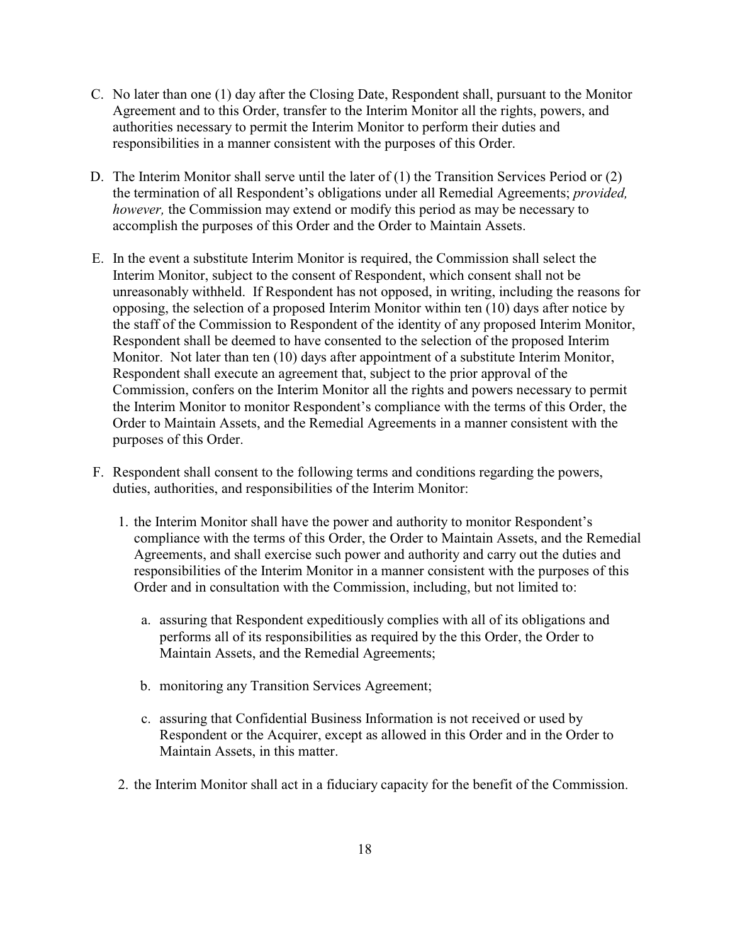- C. No later than one (1) day after the Closing Date, Respondent shall, pursuant to the Monitor Agreement and to this Order, transfer to the Interim Monitor all the rights, powers, and authorities necessary to permit the Interim Monitor to perform their duties and responsibilities in a manner consistent with the purposes of this Order.
- D. The Interim Monitor shall serve until the later of (1) the Transition Services Period or (2) the termination of all Respondent's obligations under all Remedial Agreements; *provided, however,* the Commission may extend or modify this period as may be necessary to accomplish the purposes of this Order and the Order to Maintain Assets.
- E. In the event a substitute Interim Monitor is required, the Commission shall select the Interim Monitor, subject to the consent of Respondent, which consent shall not be unreasonably withheld. If Respondent has not opposed, in writing, including the reasons for opposing, the selection of a proposed Interim Monitor within ten (10) days after notice by the staff of the Commission to Respondent of the identity of any proposed Interim Monitor, Respondent shall be deemed to have consented to the selection of the proposed Interim Monitor. Not later than ten (10) days after appointment of a substitute Interim Monitor, Respondent shall execute an agreement that, subject to the prior approval of the Commission, confers on the Interim Monitor all the rights and powers necessary to permit the Interim Monitor to monitor Respondent's compliance with the terms of this Order, the Order to Maintain Assets, and the Remedial Agreements in a manner consistent with the purposes of this Order.
- F. Respondent shall consent to the following terms and conditions regarding the powers, duties, authorities, and responsibilities of the Interim Monitor:
	- 1. the Interim Monitor shall have the power and authority to monitor Respondent's compliance with the terms of this Order, the Order to Maintain Assets, and the Remedial Agreements, and shall exercise such power and authority and carry out the duties and responsibilities of the Interim Monitor in a manner consistent with the purposes of this Order and in consultation with the Commission, including, but not limited to:
		- a. assuring that Respondent expeditiously complies with all of its obligations and performs all of its responsibilities as required by the this Order, the Order to Maintain Assets, and the Remedial Agreements;
		- b. monitoring any Transition Services Agreement;
		- c. assuring that Confidential Business Information is not received or used by Respondent or the Acquirer, except as allowed in this Order and in the Order to Maintain Assets, in this matter.
	- 2. the Interim Monitor shall act in a fiduciary capacity for the benefit of the Commission.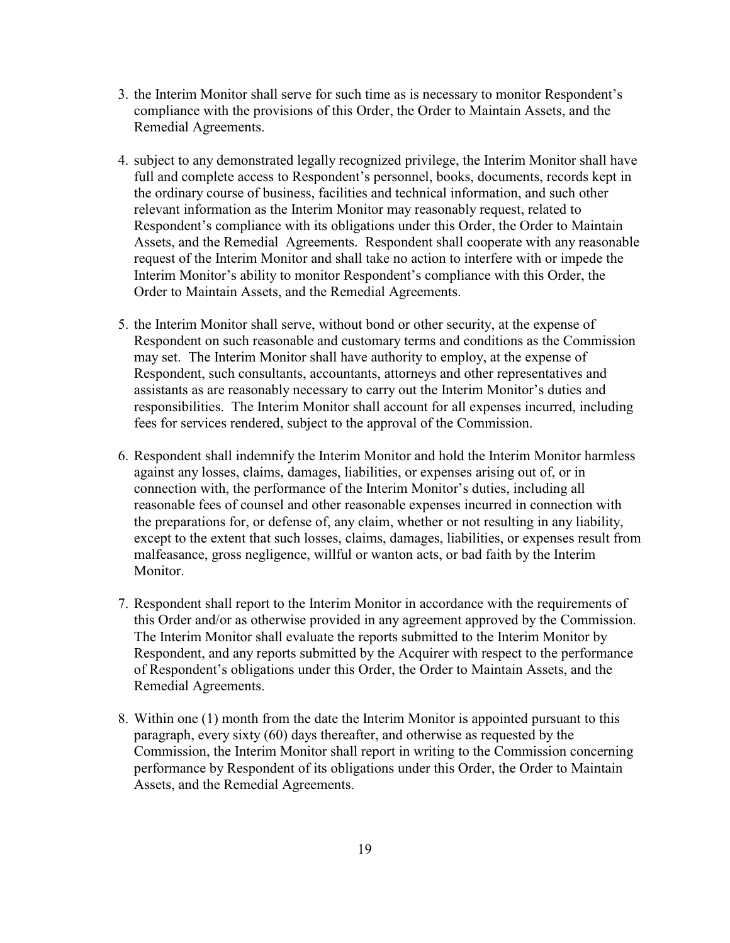- 3. the Interim Monitor shall serve for such time as is necessary to monitor Respondent's compliance with the provisions of this Order, the Order to Maintain Assets, and the Remedial Agreements.
- 4. subject to any demonstrated legally recognized privilege, the Interim Monitor shall have full and complete access to Respondent's personnel, books, documents, records kept in the ordinary course of business, facilities and technical information, and such other relevant information as the Interim Monitor may reasonably request, related to Respondent's compliance with its obligations under this Order, the Order to Maintain Assets, and the Remedial Agreements. Respondent shall cooperate with any reasonable request of the Interim Monitor and shall take no action to interfere with or impede the Interim Monitor's ability to monitor Respondent's compliance with this Order, the Order to Maintain Assets, and the Remedial Agreements.
- 5. the Interim Monitor shall serve, without bond or other security, at the expense of Respondent on such reasonable and customary terms and conditions as the Commission may set. The Interim Monitor shall have authority to employ, at the expense of Respondent, such consultants, accountants, attorneys and other representatives and assistants as are reasonably necessary to carry out the Interim Monitor's duties and responsibilities. The Interim Monitor shall account for all expenses incurred, including fees for services rendered, subject to the approval of the Commission.
- 6. Respondent shall indemnify the Interim Monitor and hold the Interim Monitor harmless against any losses, claims, damages, liabilities, or expenses arising out of, or in connection with, the performance of the Interim Monitor's duties, including all reasonable fees of counsel and other reasonable expenses incurred in connection with the preparations for, or defense of, any claim, whether or not resulting in any liability, except to the extent that such losses, claims, damages, liabilities, or expenses result from malfeasance, gross negligence, willful or wanton acts, or bad faith by the Interim Monitor.
- 7. Respondent shall report to the Interim Monitor in accordance with the requirements of this Order and/or as otherwise provided in any agreement approved by the Commission. The Interim Monitor shall evaluate the reports submitted to the Interim Monitor by Respondent, and any reports submitted by the Acquirer with respect to the performance of Respondent's obligations under this Order, the Order to Maintain Assets, and the Remedial Agreements.
- 8. Within one (1) month from the date the Interim Monitor is appointed pursuant to this paragraph, every sixty (60) days thereafter, and otherwise as requested by the Commission, the Interim Monitor shall report in writing to the Commission concerning performance by Respondent of its obligations under this Order, the Order to Maintain Assets, and the Remedial Agreements.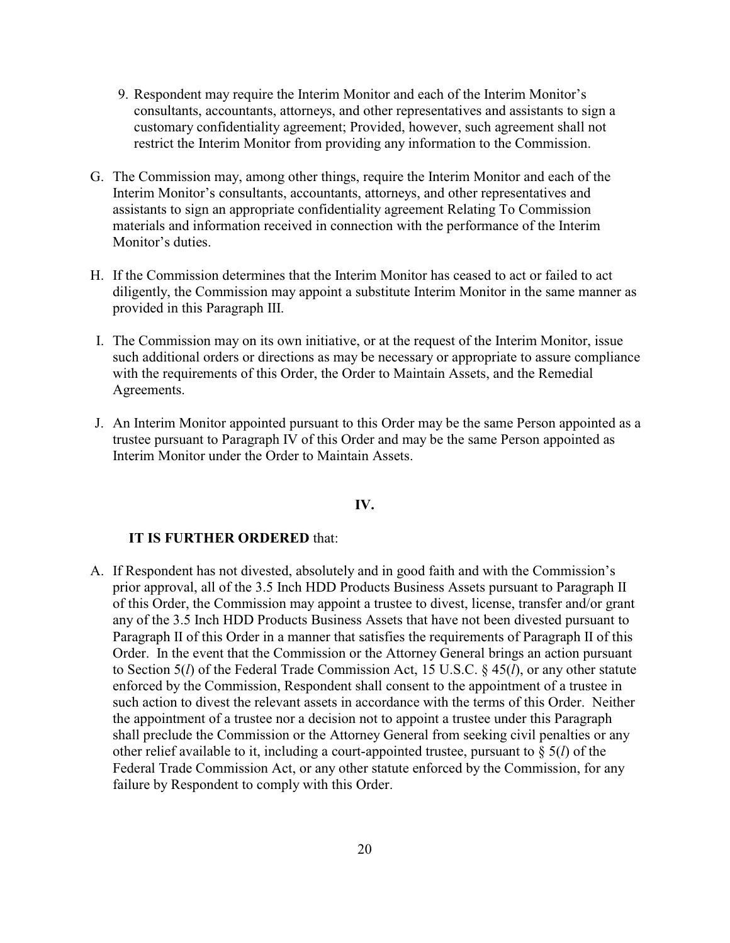- 9. Respondent may require the Interim Monitor and each of the Interim Monitor's consultants, accountants, attorneys, and other representatives and assistants to sign a customary confidentiality agreement; Provided, however, such agreement shall not restrict the Interim Monitor from providing any information to the Commission.
- G. The Commission may, among other things, require the Interim Monitor and each of the Interim Monitor's consultants, accountants, attorneys, and other representatives and assistants to sign an appropriate confidentiality agreement Relating To Commission materials and information received in connection with the performance of the Interim Monitor's duties.
- H. If the Commission determines that the Interim Monitor has ceased to act or failed to act diligently, the Commission may appoint a substitute Interim Monitor in the same manner as provided in this Paragraph III.
- I. The Commission may on its own initiative, or at the request of the Interim Monitor, issue such additional orders or directions as may be necessary or appropriate to assure compliance with the requirements of this Order, the Order to Maintain Assets, and the Remedial Agreements.
- J. An Interim Monitor appointed pursuant to this Order may be the same Person appointed as a trustee pursuant to Paragraph IV of this Order and may be the same Person appointed as Interim Monitor under the Order to Maintain Assets.

#### **IV.**

#### **IT IS FURTHER ORDERED** that:

A. If Respondent has not divested, absolutely and in good faith and with the Commission's prior approval, all of the 3.5 Inch HDD Products Business Assets pursuant to Paragraph II of this Order, the Commission may appoint a trustee to divest, license, transfer and/or grant any of the 3.5 Inch HDD Products Business Assets that have not been divested pursuant to Paragraph II of this Order in a manner that satisfies the requirements of Paragraph II of this Order. In the event that the Commission or the Attorney General brings an action pursuant to Section 5(*l*) of the Federal Trade Commission Act, 15 U.S.C. § 45(*l*), or any other statute enforced by the Commission, Respondent shall consent to the appointment of a trustee in such action to divest the relevant assets in accordance with the terms of this Order. Neither the appointment of a trustee nor a decision not to appoint a trustee under this Paragraph shall preclude the Commission or the Attorney General from seeking civil penalties or any other relief available to it, including a court-appointed trustee, pursuant to § 5(*l*) of the Federal Trade Commission Act, or any other statute enforced by the Commission, for any failure by Respondent to comply with this Order.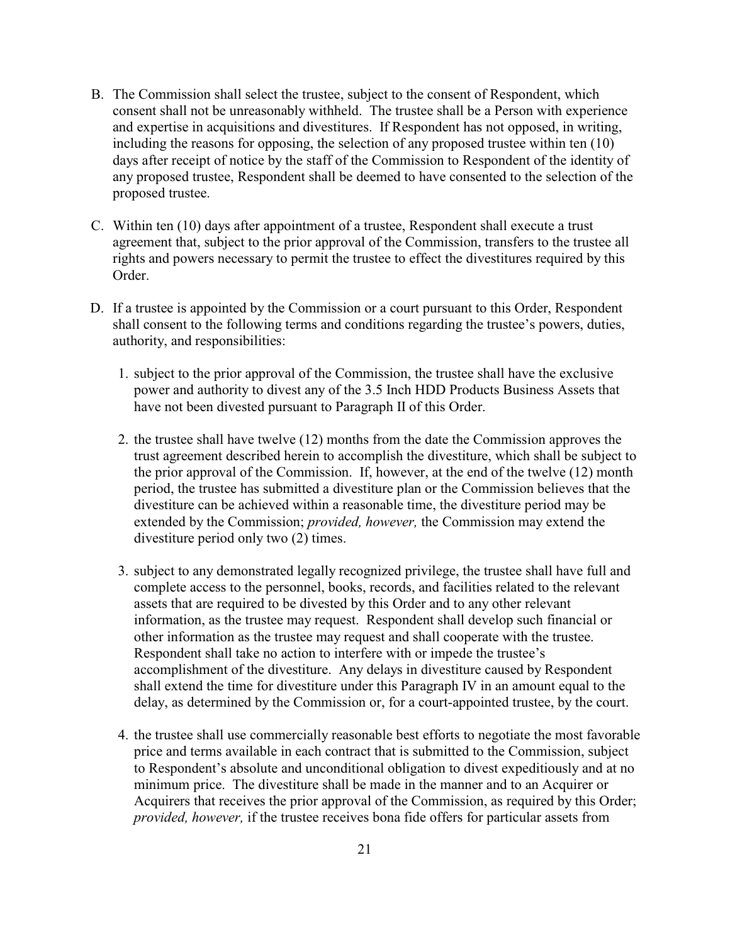- B. The Commission shall select the trustee, subject to the consent of Respondent, which consent shall not be unreasonably withheld. The trustee shall be a Person with experience and expertise in acquisitions and divestitures. If Respondent has not opposed, in writing, including the reasons for opposing, the selection of any proposed trustee within ten (10) days after receipt of notice by the staff of the Commission to Respondent of the identity of any proposed trustee, Respondent shall be deemed to have consented to the selection of the proposed trustee.
- C. Within ten (10) days after appointment of a trustee, Respondent shall execute a trust agreement that, subject to the prior approval of the Commission, transfers to the trustee all rights and powers necessary to permit the trustee to effect the divestitures required by this Order.
- D. If a trustee is appointed by the Commission or a court pursuant to this Order, Respondent shall consent to the following terms and conditions regarding the trustee's powers, duties, authority, and responsibilities:
	- 1. subject to the prior approval of the Commission, the trustee shall have the exclusive power and authority to divest any of the 3.5 Inch HDD Products Business Assets that have not been divested pursuant to Paragraph II of this Order.
	- 2. the trustee shall have twelve (12) months from the date the Commission approves the trust agreement described herein to accomplish the divestiture, which shall be subject to the prior approval of the Commission. If, however, at the end of the twelve (12) month period, the trustee has submitted a divestiture plan or the Commission believes that the divestiture can be achieved within a reasonable time, the divestiture period may be extended by the Commission; *provided, however,* the Commission may extend the divestiture period only two (2) times.
	- 3. subject to any demonstrated legally recognized privilege, the trustee shall have full and complete access to the personnel, books, records, and facilities related to the relevant assets that are required to be divested by this Order and to any other relevant information, as the trustee may request. Respondent shall develop such financial or other information as the trustee may request and shall cooperate with the trustee. Respondent shall take no action to interfere with or impede the trustee's accomplishment of the divestiture. Any delays in divestiture caused by Respondent shall extend the time for divestiture under this Paragraph IV in an amount equal to the delay, as determined by the Commission or, for a court-appointed trustee, by the court.
	- 4. the trustee shall use commercially reasonable best efforts to negotiate the most favorable price and terms available in each contract that is submitted to the Commission, subject to Respondent's absolute and unconditional obligation to divest expeditiously and at no minimum price. The divestiture shall be made in the manner and to an Acquirer or Acquirers that receives the prior approval of the Commission, as required by this Order; *provided, however,* if the trustee receives bona fide offers for particular assets from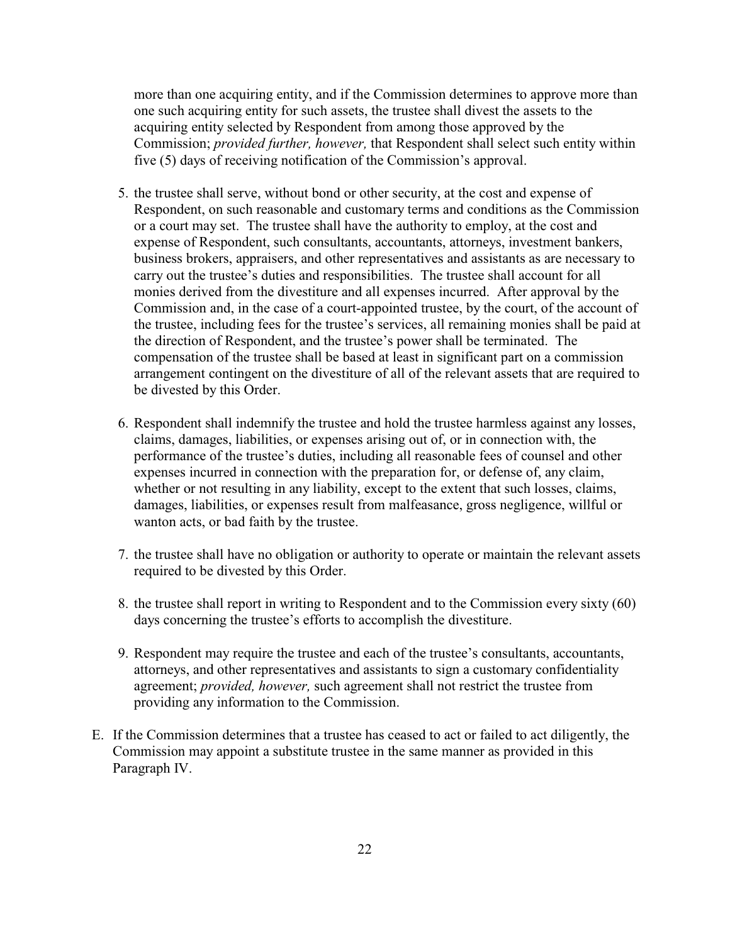more than one acquiring entity, and if the Commission determines to approve more than one such acquiring entity for such assets, the trustee shall divest the assets to the acquiring entity selected by Respondent from among those approved by the Commission; *provided further, however,* that Respondent shall select such entity within five (5) days of receiving notification of the Commission's approval.

- 5. the trustee shall serve, without bond or other security, at the cost and expense of Respondent, on such reasonable and customary terms and conditions as the Commission or a court may set. The trustee shall have the authority to employ, at the cost and expense of Respondent, such consultants, accountants, attorneys, investment bankers, business brokers, appraisers, and other representatives and assistants as are necessary to carry out the trustee's duties and responsibilities. The trustee shall account for all monies derived from the divestiture and all expenses incurred. After approval by the Commission and, in the case of a court-appointed trustee, by the court, of the account of the trustee, including fees for the trustee's services, all remaining monies shall be paid at the direction of Respondent, and the trustee's power shall be terminated. The compensation of the trustee shall be based at least in significant part on a commission arrangement contingent on the divestiture of all of the relevant assets that are required to be divested by this Order.
- 6. Respondent shall indemnify the trustee and hold the trustee harmless against any losses, claims, damages, liabilities, or expenses arising out of, or in connection with, the performance of the trustee's duties, including all reasonable fees of counsel and other expenses incurred in connection with the preparation for, or defense of, any claim, whether or not resulting in any liability, except to the extent that such losses, claims, damages, liabilities, or expenses result from malfeasance, gross negligence, willful or wanton acts, or bad faith by the trustee.
- 7. the trustee shall have no obligation or authority to operate or maintain the relevant assets required to be divested by this Order.
- 8. the trustee shall report in writing to Respondent and to the Commission every sixty (60) days concerning the trustee's efforts to accomplish the divestiture.
- 9. Respondent may require the trustee and each of the trustee's consultants, accountants, attorneys, and other representatives and assistants to sign a customary confidentiality agreement; *provided, however,* such agreement shall not restrict the trustee from providing any information to the Commission.
- E. If the Commission determines that a trustee has ceased to act or failed to act diligently, the Commission may appoint a substitute trustee in the same manner as provided in this Paragraph IV.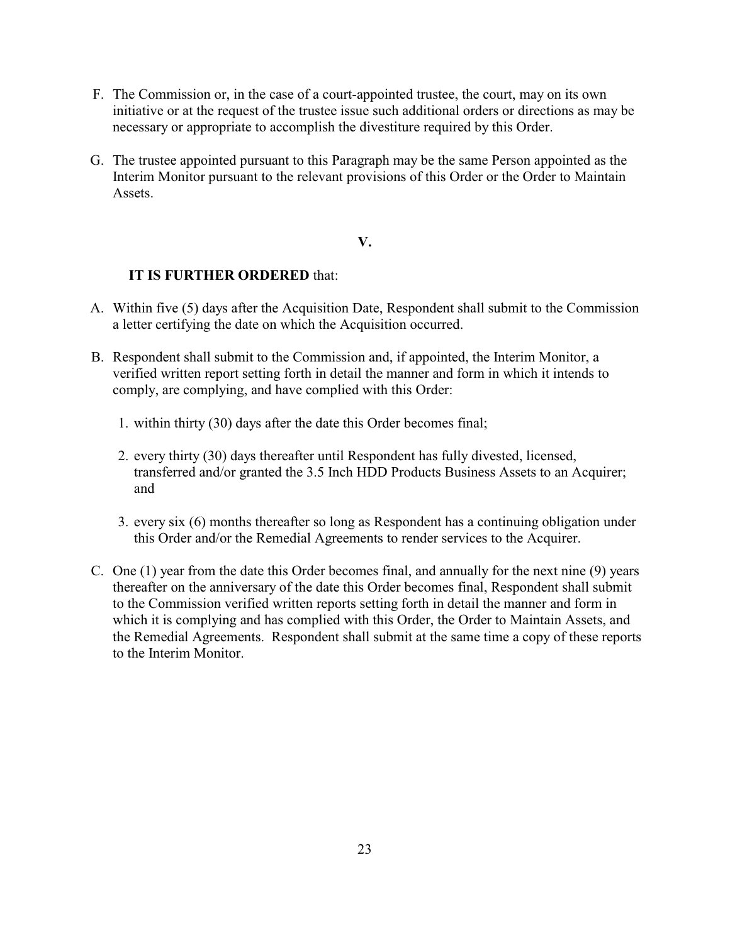- F. The Commission or, in the case of a court-appointed trustee, the court, may on its own initiative or at the request of the trustee issue such additional orders or directions as may be necessary or appropriate to accomplish the divestiture required by this Order.
- G. The trustee appointed pursuant to this Paragraph may be the same Person appointed as the Interim Monitor pursuant to the relevant provisions of this Order or the Order to Maintain **Assets**

#### **V.**

## **IT IS FURTHER ORDERED** that:

- A. Within five (5) days after the Acquisition Date, Respondent shall submit to the Commission a letter certifying the date on which the Acquisition occurred.
- B. Respondent shall submit to the Commission and, if appointed, the Interim Monitor, a verified written report setting forth in detail the manner and form in which it intends to comply, are complying, and have complied with this Order:
	- 1. within thirty (30) days after the date this Order becomes final;
	- 2. every thirty (30) days thereafter until Respondent has fully divested, licensed, transferred and/or granted the 3.5 Inch HDD Products Business Assets to an Acquirer; and
	- 3. every six (6) months thereafter so long as Respondent has a continuing obligation under this Order and/or the Remedial Agreements to render services to the Acquirer.
- C. One (1) year from the date this Order becomes final, and annually for the next nine (9) years thereafter on the anniversary of the date this Order becomes final, Respondent shall submit to the Commission verified written reports setting forth in detail the manner and form in which it is complying and has complied with this Order, the Order to Maintain Assets, and the Remedial Agreements. Respondent shall submit at the same time a copy of these reports to the Interim Monitor.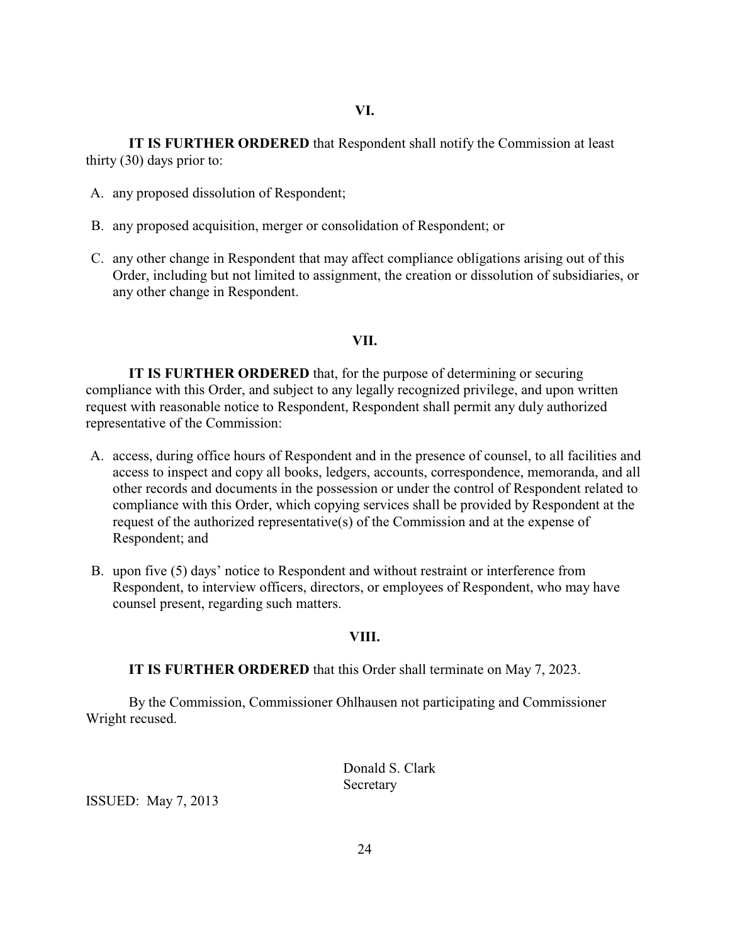**IT IS FURTHER ORDERED** that Respondent shall notify the Commission at least thirty (30) days prior to:

- A. any proposed dissolution of Respondent;
- B. any proposed acquisition, merger or consolidation of Respondent; or
- C. any other change in Respondent that may affect compliance obligations arising out of this Order, including but not limited to assignment, the creation or dissolution of subsidiaries, or any other change in Respondent.

#### **VII.**

**IT IS FURTHER ORDERED** that, for the purpose of determining or securing compliance with this Order, and subject to any legally recognized privilege, and upon written request with reasonable notice to Respondent, Respondent shall permit any duly authorized representative of the Commission:

- A. access, during office hours of Respondent and in the presence of counsel, to all facilities and access to inspect and copy all books, ledgers, accounts, correspondence, memoranda, and all other records and documents in the possession or under the control of Respondent related to compliance with this Order, which copying services shall be provided by Respondent at the request of the authorized representative(s) of the Commission and at the expense of Respondent; and
- B. upon five (5) days' notice to Respondent and without restraint or interference from Respondent, to interview officers, directors, or employees of Respondent, who may have counsel present, regarding such matters.

#### **VIII.**

**IT IS FURTHER ORDERED** that this Order shall terminate on May 7, 2023.

By the Commission, Commissioner Ohlhausen not participating and Commissioner Wright recused.

> Donald S. Clark Secretary

ISSUED: May 7, 2013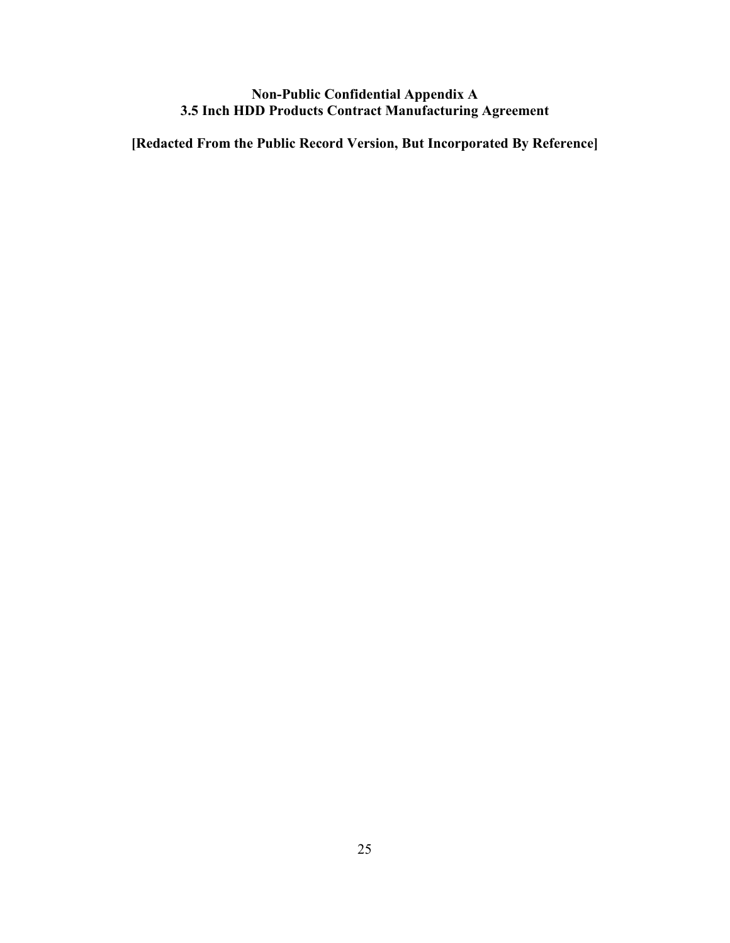## **Non-Public Confidential Appendix A 3.5 Inch HDD Products Contract Manufacturing Agreement**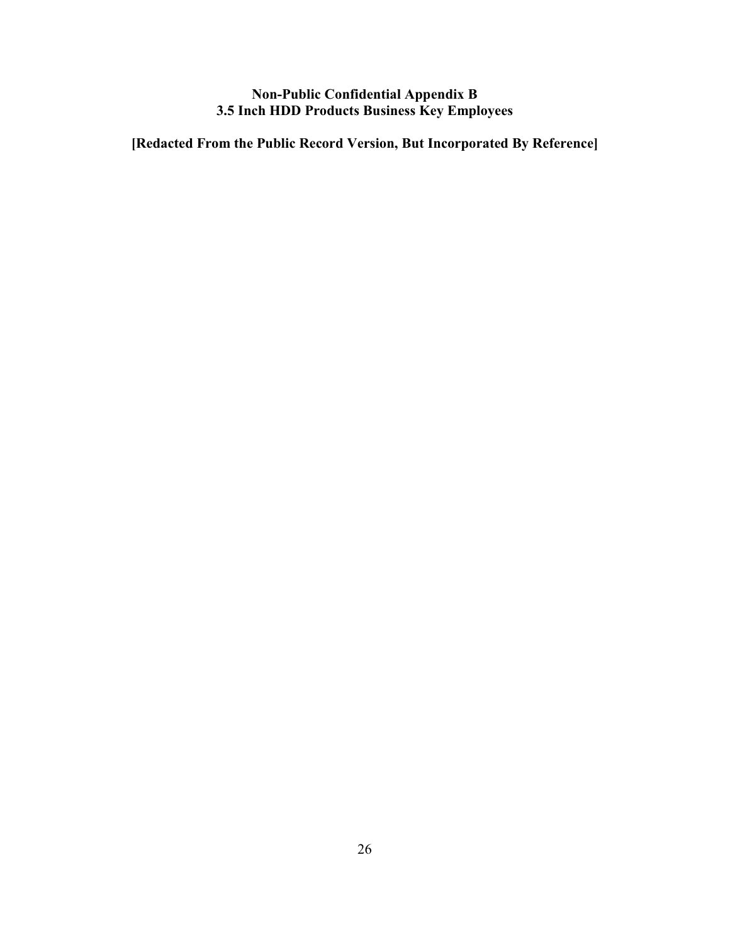## **Non-Public Confidential Appendix B 3.5 Inch HDD Products Business Key Employees**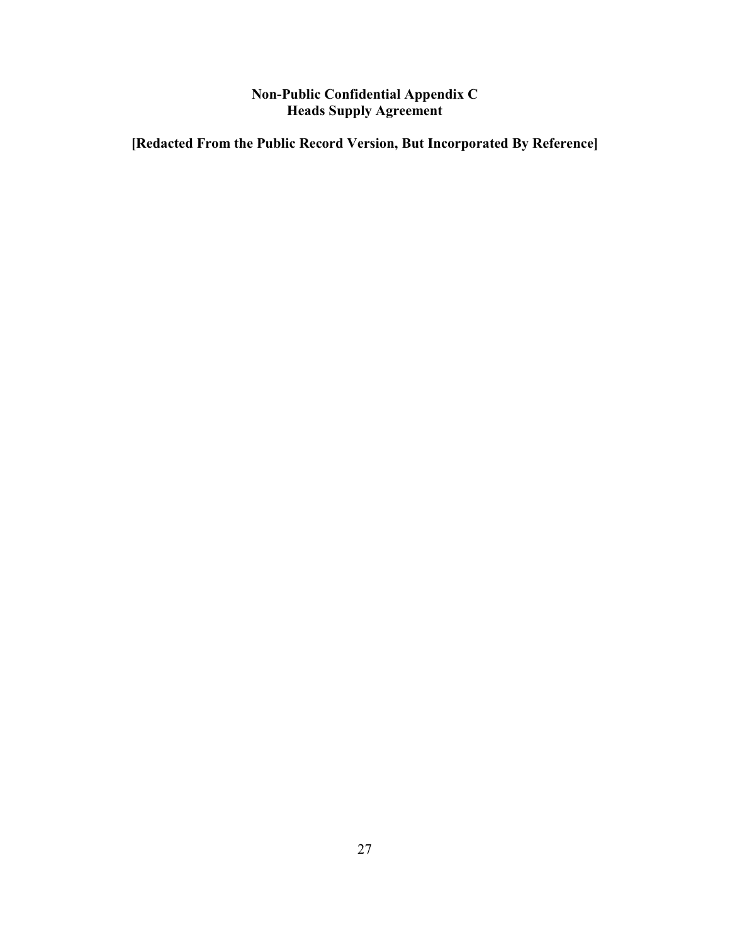## **Non-Public Confidential Appendix C Heads Supply Agreement**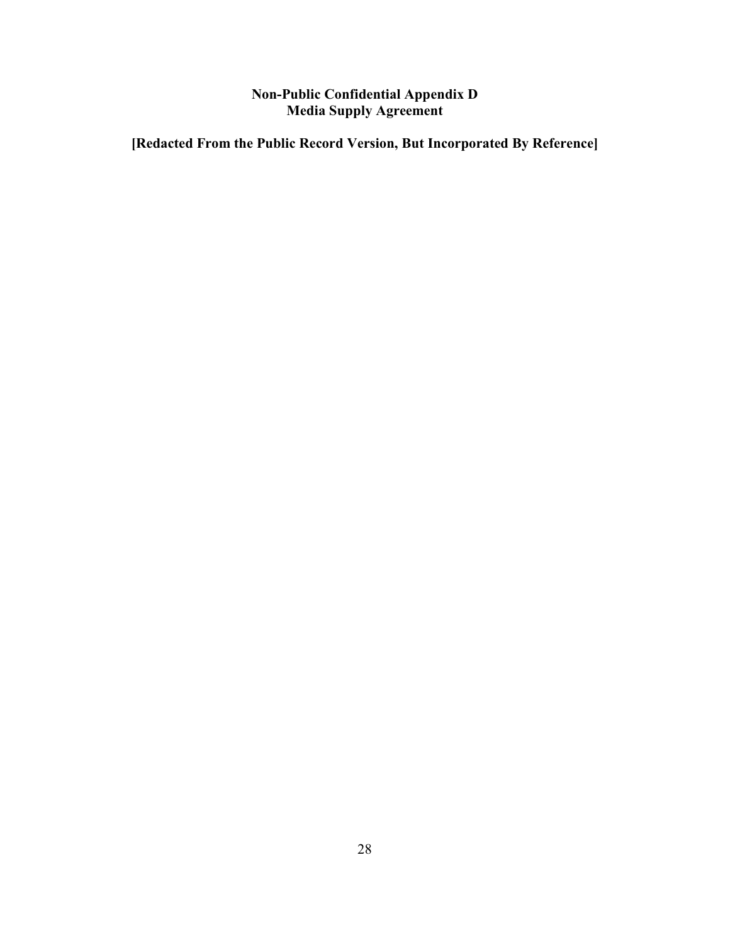## **Non-Public Confidential Appendix D Media Supply Agreement**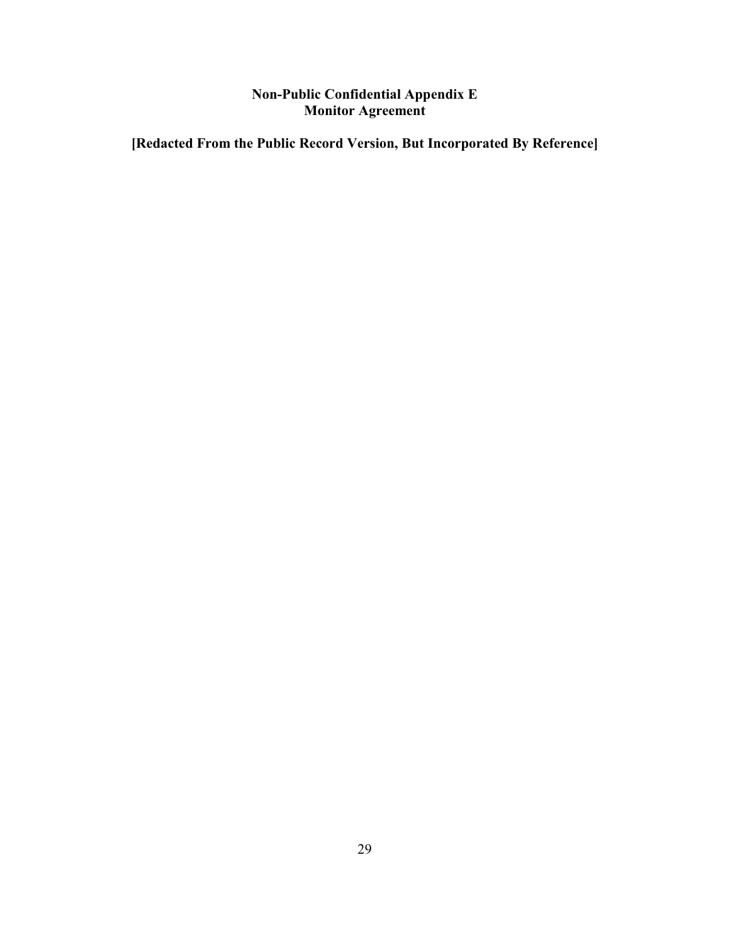## **Non-Public Confidential Appendix E Monitor Agreement**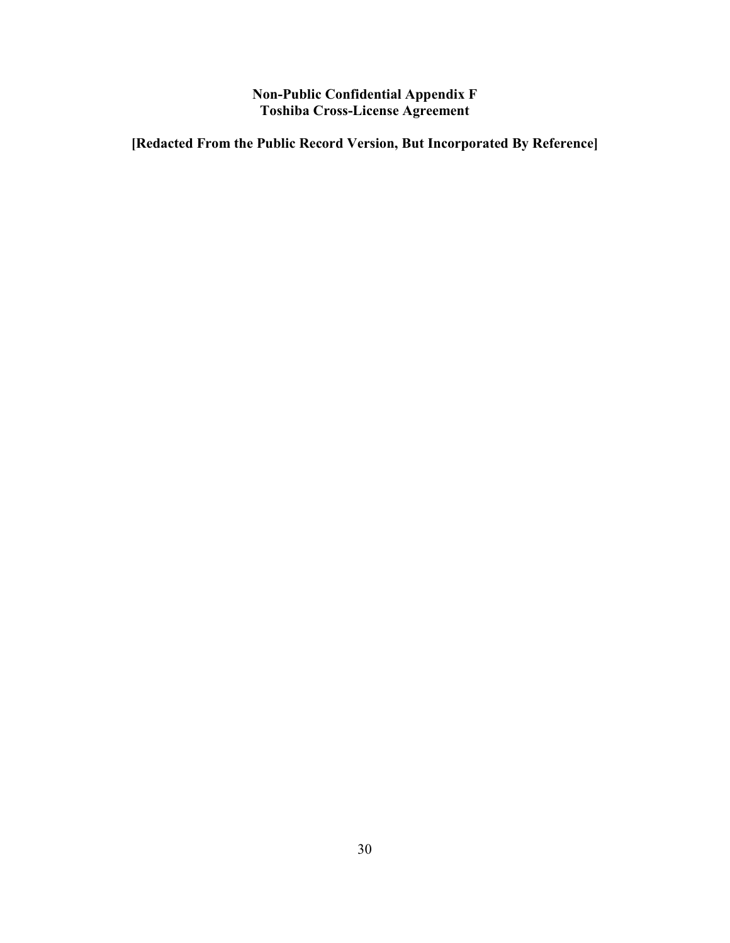**Non-Public Confidential Appendix F Toshiba Cross-License Agreement**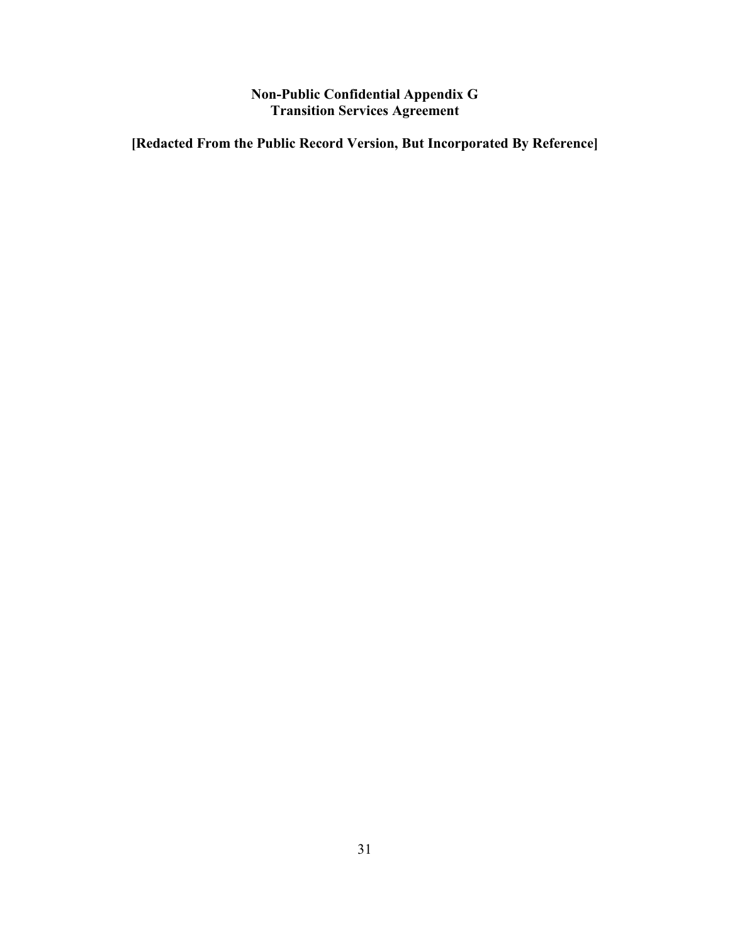## **Non-Public Confidential Appendix G Transition Services Agreement**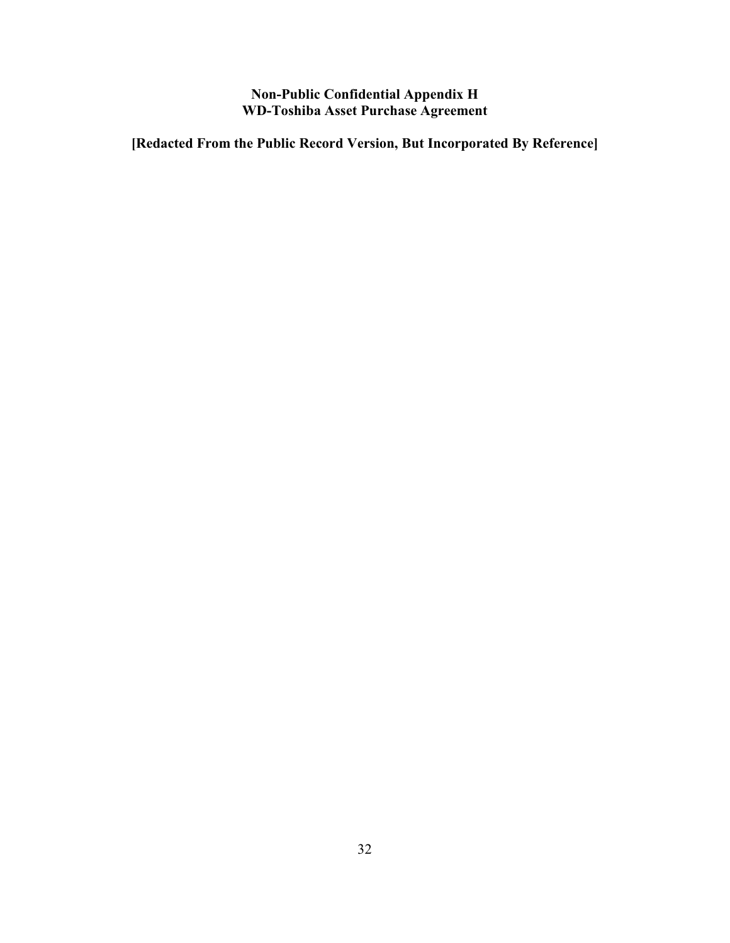## **Non-Public Confidential Appendix H WD-Toshiba Asset Purchase Agreement**